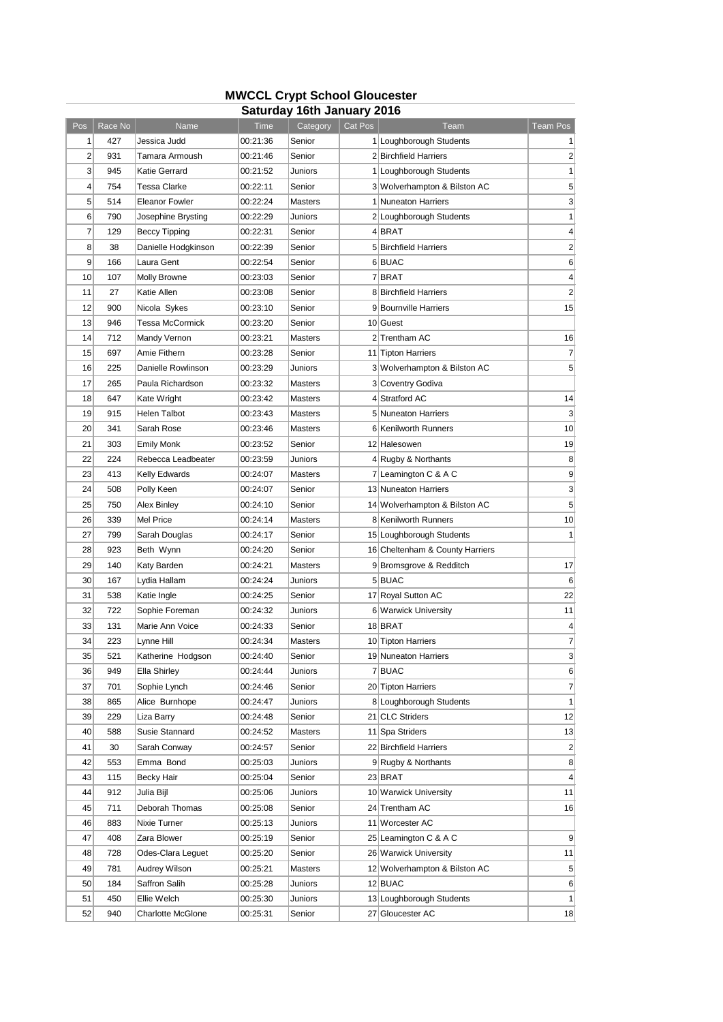## **MWCCL Crypt School Gloucester Saturday 16th January 2016**

|                |            |                              |          | Jaluruay Tulii Jahuary Zu Iu |         |                                 |                |
|----------------|------------|------------------------------|----------|------------------------------|---------|---------------------------------|----------------|
| Pos            | Race No    | Name                         | Time     | Category                     | Cat Pos | Team                            | Team Pos       |
| 1              | 427        | Jessica Judd                 | 00:21:36 | Senior                       |         | 1 Loughborough Students         | 1              |
| $\overline{2}$ | 931        | Tamara Armoush               | 00:21:46 | Senior                       |         | 2 Birchfield Harriers           | 2              |
| 3              | 945        | Katie Gerrard                | 00:21:52 | Juniors                      |         | 1 Loughborough Students         | 1              |
| 4              | 754        | Tessa Clarke                 | 00:22:11 | Senior                       |         | 3 Wolverhampton & Bilston AC    | 5              |
| 5              | 514        | <b>Eleanor Fowler</b>        | 00:22:24 | <b>Masters</b>               |         | 1 Nuneaton Harriers             | 3              |
| 6              | 790        | Josephine Brysting           | 00:22:29 | Juniors                      |         | 2 Loughborough Students         | 1              |
| 7              | 129        | <b>Beccy Tipping</b>         | 00:22:31 | Senior                       |         | 4BRAT                           | 4              |
| 8              | 38         | Danielle Hodgkinson          | 00:22:39 | Senior                       |         | 5 Birchfield Harriers           | 2              |
| 9              | 166        | Laura Gent                   | 00:22:54 | Senior                       |         | 6 BUAC                          | 6              |
| 10             | 107        | <b>Molly Browne</b>          | 00:23:03 | Senior                       |         | 7 BRAT                          | 4              |
| 11             | 27         | Katie Allen                  | 00:23:08 | Senior                       |         | 8 Birchfield Harriers           | 2              |
| 12             | 900        | Nicola Sykes                 | 00:23:10 | Senior                       |         | 9 Bournville Harriers           | 15             |
| 13             | 946        | Tessa McCormick              | 00:23:20 | Senior                       |         | 10 Guest                        |                |
| 14             | 712        | Mandy Vernon                 | 00:23:21 | <b>Masters</b>               |         | 2 Trentham AC                   | 16             |
| 15             | 697        | Amie Fithern                 | 00:23:28 | Senior                       |         | 11 Tipton Harriers              | 7              |
| 16             | 225        | Danielle Rowlinson           | 00:23:29 | Juniors                      |         | 3 Wolverhampton & Bilston AC    | 5              |
| 17             | 265        | Paula Richardson             | 00:23:32 | <b>Masters</b>               |         | 3 Coventry Godiva               |                |
| 18             | 647        | Kate Wright                  | 00:23:42 | <b>Masters</b>               |         | 4 Stratford AC                  | 14             |
| 19             | 915        | Helen Talbot                 | 00:23:43 | <b>Masters</b>               |         | 5 Nuneaton Harriers             | 3              |
| 20             | 341        | Sarah Rose                   | 00:23:46 | <b>Masters</b>               |         | 6 Kenilworth Runners            | 10             |
| 21             | 303        | Emily Monk                   | 00:23:52 | Senior                       |         | 12 Halesowen                    | 19             |
| 22             | 224        | Rebecca Leadbeater           | 00:23:59 | Juniors                      |         | 4 Rugby & Northants             | 8              |
| 23             | 413        | Kelly Edwards                | 00:24:07 | <b>Masters</b>               |         | 7 Leamington C & A C            | 9              |
| 24             | 508        | Polly Keen                   | 00:24:07 | Senior                       |         | 13 Nuneaton Harriers            | 3              |
| 25             | 750        | Alex Binley                  | 00:24:10 | Senior                       |         | 14 Wolverhampton & Bilston AC   | 5              |
| 26             | 339        | Mel Price                    | 00:24:14 | <b>Masters</b>               |         | 8 Kenilworth Runners            | 10             |
| 27             | 799        | Sarah Douglas                | 00:24:17 | Senior                       |         | 15 Loughborough Students        | 1              |
| 28             | 923        | Beth Wynn                    | 00:24:20 | Senior                       |         | 16 Cheltenham & County Harriers |                |
| 29             | 140        | Katy Barden                  | 00:24:21 | <b>Masters</b>               |         | 9 Bromsgrove & Redditch         | 17             |
| 30             | 167        | Lydia Hallam                 | 00:24:24 | Juniors                      |         | 5 BUAC                          | 6              |
| 31             | 538        | Katie Ingle                  | 00:24:25 | Senior                       |         | 17 Royal Sutton AC              | 22             |
| 32             | 722        | Sophie Foreman               | 00:24:32 | Juniors                      |         | 6 Warwick University            | 11             |
| 33             | 131        | Marie Ann Voice              | 00:24:33 | Senior                       |         | 18 BRAT                         | 4              |
| 34             | 223        | Lynne Hill                   | 00:24:34 | <b>Masters</b>               |         | 10 Tipton Harriers              | 7              |
| 35             | 521        | Katherine Hodgson            | 00:24:40 | Senior                       |         | 19 Nuneaton Harriers            | 3              |
| 36             | 949        | Ella Shirley                 | 00:24:44 | Juniors                      |         | 7 BUAC                          | 6              |
| 37             | 701        | Sophie Lynch                 | 00:24:46 | Senior                       |         | 20 Tipton Harriers              | 7              |
| 38             | 865        | Alice Burnhope               | 00:24:47 | Juniors                      |         | 8 Loughborough Students         | 1              |
| 39             | 229        | Liza Barry                   | 00:24:48 | Senior                       |         | 21 CLC Striders                 | 12             |
| 40             | 588        | Susie Stannard               | 00:24:52 | Masters                      |         | 11 Spa Striders                 | 13             |
| 41             | 30         | Sarah Conway                 | 00:24:57 | Senior                       |         | 22 Birchfield Harriers          | $\overline{2}$ |
| 42             | 553        | Emma Bond                    | 00:25:03 | Juniors                      |         | 9 Rugby & Northants             | 8 <sup>8</sup> |
| 43             | 115        |                              | 00:25:04 | Senior                       |         | 23 BRAT                         | $\overline{4}$ |
| 44             |            | Becky Hair                   |          |                              |         | 10 Warwick University           |                |
|                | 912<br>711 | Julia Bijl<br>Deborah Thomas | 00:25:06 | Juniors                      |         | 24 Trentham AC                  | 11<br>16       |
| 45             |            |                              | 00:25:08 | Senior                       |         |                                 |                |
| 46             | 883        | Nixie Turner                 | 00:25:13 | Juniors                      |         | 11 Worcester AC                 |                |
| 47             | 408        | Zara Blower                  | 00:25:19 | Senior                       |         | 25 Leamington C & A C           | 9              |
| 48             | 728        | Odes-Clara Leguet            | 00:25:20 | Senior                       |         | 26 Warwick University           | 11             |
| 49             | 781        | Audrey Wilson                | 00:25:21 | Masters                      |         | 12 Wolverhampton & Bilston AC   | 5              |
| 50             | 184        | Saffron Salih                | 00:25:28 | Juniors                      |         | 12 BUAC                         | 6              |
| 51             | 450        | Ellie Welch                  | 00:25:30 | Juniors                      |         | 13 Loughborough Students        | 1              |
| 52             | 940        | Charlotte McGlone            | 00:25:31 | Senior                       |         | 27 Gloucester AC                | 18             |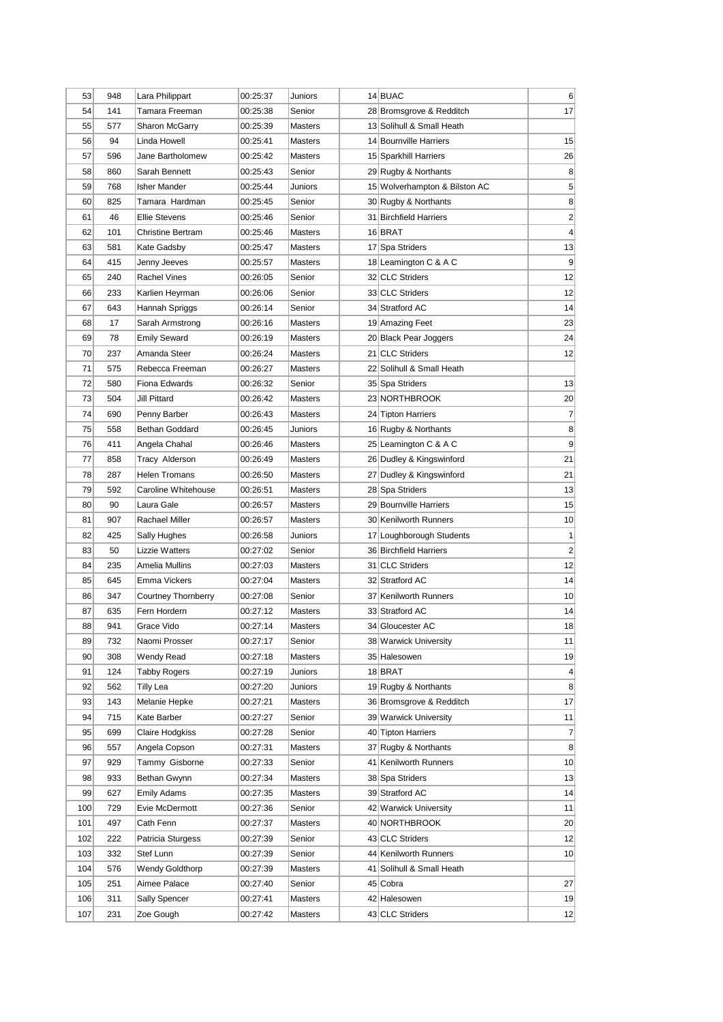| 54<br>141<br>Tamara Freeman<br>17<br>00:25:38<br>Senior<br>28 Bromsgrove & Redditch<br>55<br>577<br>Sharon McGarrv<br>00:25:39<br>13 Solihull & Small Heath<br>Masters<br>15<br>56<br>Linda Howell<br>14 Bournville Harriers<br>94<br>00:25:41<br>Masters<br>57<br>596<br>Jane Bartholomew<br>15 Sparkhill Harriers<br>26<br>00:25:42<br>Masters<br>8 <sup>1</sup><br>860<br>58<br>Sarah Bennett<br>00:25:43<br>Senior<br>29 Rugby & Northants<br>5 <sup>1</sup><br>59<br>768<br>15 Wolverhampton & Bilston AC<br>Isher Mander<br>00:25:44<br>Juniors<br>60<br>825<br>Tamara Hardman<br>8<br>00:25:45<br>Senior<br>30 Rugby & Northants<br>$\overline{2}$<br>61<br>46<br>Ellie Stevens<br>31 Birchfield Harriers<br>00:25:46<br>Senior<br>$\vert 4 \vert$<br>62<br>16 BRAT<br>101<br>Christine Bertram<br>00:25:46<br>Masters<br>63<br>581<br>17 Spa Striders<br>13<br>Kate Gadsby<br>00:25:47<br>Masters<br>$\vert 9 \vert$<br>64<br>415<br>18 Leamington C & A C<br>Jenny Jeeves<br>00:25:57<br>Masters<br>12<br>240<br>32 CLC Striders<br>65<br>Rachel Vines<br>00:26:05<br>Senior<br>66<br>233<br>33 CLC Striders<br>12<br>Karlien Heyrman<br>00:26:06<br>Senior<br>14<br>67<br>643<br>34 Stratford AC<br>Hannah Spriggs<br>00:26:14<br>Senior<br>23<br>68<br>17<br>Sarah Armstrong<br>00:26:16<br>19 Amazing Feet<br>Masters<br>78<br><b>Emily Seward</b><br>00:26:19<br>20 Black Pear Joggers<br>24<br>69<br>Masters<br>21 CLC Striders<br>70<br>237<br>Amanda Steer<br>12<br>00:26:24<br>Masters<br>22 Solihull & Small Heath<br>71<br>Rebecca Freeman<br>575<br>00:26:27<br>Masters<br>72<br>580<br>Fiona Edwards<br>35 Spa Striders<br>13<br>00:26:32<br>Senior<br>73<br>504<br>Jill Pittard<br>23 NORTHBROOK<br>20 <sub>l</sub><br>00:26:42<br><b>Masters</b><br>$\overline{7}$<br>74<br>690<br>Penny Barber<br>00:26:43<br>24 Tipton Harriers<br>Masters<br>8<br>75<br>558<br><b>Bethan Goddard</b><br>16 Rugby & Northants<br>00:26:45<br>Juniors<br>$\vert 9 \vert$<br>76<br>411<br>25 Leamington C & A C<br>Angela Chahal<br>00:26:46<br>Masters<br>77<br>21<br>858<br>Tracy Alderson<br>00:26:49<br>26 Dudley & Kingswinford<br>Masters<br>78<br>21<br>287<br>Helen Tromans<br>00:26:50<br>27 Dudley & Kingswinford<br>Masters<br>79<br>592<br>Caroline Whitehouse<br>13<br>00:26:51<br>28 Spa Striders<br>Masters<br>15<br>80<br>29 Bournville Harriers<br>90<br>Laura Gale<br>00:26:57<br>Masters<br>30 Kenilworth Runners<br>10 <sup>1</sup><br>81<br>907<br>Rachael Miller<br>00:26:57<br>Masters<br>82<br>425<br>17 Loughborough Students<br>1 <sup>1</sup><br>Sally Hughes<br>00:26:58<br>Juniors<br>36 Birchfield Harriers<br>$\overline{2}$<br>83<br>50<br>Lizzie Watters<br>00:27:02<br>Senior<br>31 CLC Striders<br>12<br>84<br>235<br>Amelia Mullins<br>00:27:03<br>Masters<br>85<br>645<br>Emma Vickers<br>32 Stratford AC<br> 14 <br>00:27:04<br>Masters<br>347<br>10<br>86<br>Courtney Thornberry<br>37 Kenilworth Runners<br>00:27:08<br>Senior<br>87<br>Fern Hordern<br> 14 <br>635<br>00:27:12<br>33 Stratford AC<br>Masters<br>88<br>941<br>18<br>Grace Vido<br>00:27:14<br>34 Gloucester AC<br>Masters<br>732<br>Naomi Prosser<br>00:27:17<br>38 Warwick University<br>11<br>89<br>Senior<br>308<br>00:27:18<br>35 Halesowen<br>90 <sub>l</sub><br>Wendy Read<br>Masters<br>19<br>124<br>00:27:19<br>18 BRAT<br>$\vert 4 \vert$<br>91<br>Tabby Rogers<br>Juniors<br>92<br>19 Rugby & Northants<br>8 <sup>°</sup><br>562<br>Tilly Lea<br>00:27:20<br>Juniors<br>17<br>93<br>Melanie Hepke<br>36 Bromsgrove & Redditch<br>143<br>00:27:21<br>Masters<br>94<br>715<br>Kate Barber<br>Senior<br>39 Warwick University<br>00:27:27<br>11<br>699<br>Claire Hodgkiss<br>40 Tipton Harriers<br>$\mathbf{z}$<br>95<br>00:27:28<br>Senior<br>37 Rugby & Northants<br>8 <sup>1</sup><br>96<br>557<br>Angela Copson<br>00:27:31<br>Masters<br>Tammy Gisborne<br>41 Kenilworth Runners<br>10 <sup>1</sup><br>97<br>929<br>00:27:33<br>Senior<br>933<br>13<br>98<br>Bethan Gwynn<br>00:27:34<br>Masters<br>38 Spa Striders<br>39 Stratford AC<br>99<br>627<br>Emily Adams<br>00:27:35<br>Masters<br> 14 <br>Evie McDermott<br>42 Warwick University<br>100<br>729<br>00:27:36<br>Senior<br>11<br>101<br>497<br>Cath Fenn<br>40 NORTHBROOK<br>20 <sub>l</sub><br>00:27:37<br>Masters<br>222<br>43 CLC Striders<br>102<br>Patricia Sturgess<br>00:27:39<br>Senior<br>12<br>44 Kenilworth Runners<br>10<br>103<br>332<br>Stef Lunn<br>00:27:39<br>Senior<br>104<br>41 Solihull & Small Heath<br>576<br>Wendy Goldthorp<br>00:27:39<br>Masters<br>27<br>105<br>251<br>Aimee Palace<br>00:27:40<br>Senior<br>45 Cobra<br>106<br>311<br>Sally Spencer<br>00:27:41<br>Masters<br>42 Halesowen<br>19<br>107<br>231<br>00:27:42<br>43 CLC Striders<br>12<br>Zoe Gough<br>Masters | 53 | 948 | Lara Philippart | 00:25:37 | Juniors | 14 BUAC | $6 \mid$ |
|---------------------------------------------------------------------------------------------------------------------------------------------------------------------------------------------------------------------------------------------------------------------------------------------------------------------------------------------------------------------------------------------------------------------------------------------------------------------------------------------------------------------------------------------------------------------------------------------------------------------------------------------------------------------------------------------------------------------------------------------------------------------------------------------------------------------------------------------------------------------------------------------------------------------------------------------------------------------------------------------------------------------------------------------------------------------------------------------------------------------------------------------------------------------------------------------------------------------------------------------------------------------------------------------------------------------------------------------------------------------------------------------------------------------------------------------------------------------------------------------------------------------------------------------------------------------------------------------------------------------------------------------------------------------------------------------------------------------------------------------------------------------------------------------------------------------------------------------------------------------------------------------------------------------------------------------------------------------------------------------------------------------------------------------------------------------------------------------------------------------------------------------------------------------------------------------------------------------------------------------------------------------------------------------------------------------------------------------------------------------------------------------------------------------------------------------------------------------------------------------------------------------------------------------------------------------------------------------------------------------------------------------------------------------------------------------------------------------------------------------------------------------------------------------------------------------------------------------------------------------------------------------------------------------------------------------------------------------------------------------------------------------------------------------------------------------------------------------------------------------------------------------------------------------------------------------------------------------------------------------------------------------------------------------------------------------------------------------------------------------------------------------------------------------------------------------------------------------------------------------------------------------------------------------------------------------------------------------------------------------------------------------------------------------------------------------------------------------------------------------------------------------------------------------------------------------------------------------------------------------------------------------------------------------------------------------------------------------------------------------------------------------------------------------------------------------------------------------------------------------------------------------------------------------------------------------------------------------------------------------------------------------------------------------------------------------------------------------------------------------------------------------------------------------------------------------------------------------------------------------------------------------------------------------------------------------------------------------------------------------------------------------------------------------------------------------------------------------------------------------------------------------------------------------|----|-----|-----------------|----------|---------|---------|----------|
|                                                                                                                                                                                                                                                                                                                                                                                                                                                                                                                                                                                                                                                                                                                                                                                                                                                                                                                                                                                                                                                                                                                                                                                                                                                                                                                                                                                                                                                                                                                                                                                                                                                                                                                                                                                                                                                                                                                                                                                                                                                                                                                                                                                                                                                                                                                                                                                                                                                                                                                                                                                                                                                                                                                                                                                                                                                                                                                                                                                                                                                                                                                                                                                                                                                                                                                                                                                                                                                                                                                                                                                                                                                                                                                                                                                                                                                                                                                                                                                                                                                                                                                                                                                                                                                                                                                                                                                                                                                                                                                                                                                                                                                                                                                                                                                             |    |     |                 |          |         |         |          |
|                                                                                                                                                                                                                                                                                                                                                                                                                                                                                                                                                                                                                                                                                                                                                                                                                                                                                                                                                                                                                                                                                                                                                                                                                                                                                                                                                                                                                                                                                                                                                                                                                                                                                                                                                                                                                                                                                                                                                                                                                                                                                                                                                                                                                                                                                                                                                                                                                                                                                                                                                                                                                                                                                                                                                                                                                                                                                                                                                                                                                                                                                                                                                                                                                                                                                                                                                                                                                                                                                                                                                                                                                                                                                                                                                                                                                                                                                                                                                                                                                                                                                                                                                                                                                                                                                                                                                                                                                                                                                                                                                                                                                                                                                                                                                                                             |    |     |                 |          |         |         |          |
|                                                                                                                                                                                                                                                                                                                                                                                                                                                                                                                                                                                                                                                                                                                                                                                                                                                                                                                                                                                                                                                                                                                                                                                                                                                                                                                                                                                                                                                                                                                                                                                                                                                                                                                                                                                                                                                                                                                                                                                                                                                                                                                                                                                                                                                                                                                                                                                                                                                                                                                                                                                                                                                                                                                                                                                                                                                                                                                                                                                                                                                                                                                                                                                                                                                                                                                                                                                                                                                                                                                                                                                                                                                                                                                                                                                                                                                                                                                                                                                                                                                                                                                                                                                                                                                                                                                                                                                                                                                                                                                                                                                                                                                                                                                                                                                             |    |     |                 |          |         |         |          |
|                                                                                                                                                                                                                                                                                                                                                                                                                                                                                                                                                                                                                                                                                                                                                                                                                                                                                                                                                                                                                                                                                                                                                                                                                                                                                                                                                                                                                                                                                                                                                                                                                                                                                                                                                                                                                                                                                                                                                                                                                                                                                                                                                                                                                                                                                                                                                                                                                                                                                                                                                                                                                                                                                                                                                                                                                                                                                                                                                                                                                                                                                                                                                                                                                                                                                                                                                                                                                                                                                                                                                                                                                                                                                                                                                                                                                                                                                                                                                                                                                                                                                                                                                                                                                                                                                                                                                                                                                                                                                                                                                                                                                                                                                                                                                                                             |    |     |                 |          |         |         |          |
|                                                                                                                                                                                                                                                                                                                                                                                                                                                                                                                                                                                                                                                                                                                                                                                                                                                                                                                                                                                                                                                                                                                                                                                                                                                                                                                                                                                                                                                                                                                                                                                                                                                                                                                                                                                                                                                                                                                                                                                                                                                                                                                                                                                                                                                                                                                                                                                                                                                                                                                                                                                                                                                                                                                                                                                                                                                                                                                                                                                                                                                                                                                                                                                                                                                                                                                                                                                                                                                                                                                                                                                                                                                                                                                                                                                                                                                                                                                                                                                                                                                                                                                                                                                                                                                                                                                                                                                                                                                                                                                                                                                                                                                                                                                                                                                             |    |     |                 |          |         |         |          |
|                                                                                                                                                                                                                                                                                                                                                                                                                                                                                                                                                                                                                                                                                                                                                                                                                                                                                                                                                                                                                                                                                                                                                                                                                                                                                                                                                                                                                                                                                                                                                                                                                                                                                                                                                                                                                                                                                                                                                                                                                                                                                                                                                                                                                                                                                                                                                                                                                                                                                                                                                                                                                                                                                                                                                                                                                                                                                                                                                                                                                                                                                                                                                                                                                                                                                                                                                                                                                                                                                                                                                                                                                                                                                                                                                                                                                                                                                                                                                                                                                                                                                                                                                                                                                                                                                                                                                                                                                                                                                                                                                                                                                                                                                                                                                                                             |    |     |                 |          |         |         |          |
|                                                                                                                                                                                                                                                                                                                                                                                                                                                                                                                                                                                                                                                                                                                                                                                                                                                                                                                                                                                                                                                                                                                                                                                                                                                                                                                                                                                                                                                                                                                                                                                                                                                                                                                                                                                                                                                                                                                                                                                                                                                                                                                                                                                                                                                                                                                                                                                                                                                                                                                                                                                                                                                                                                                                                                                                                                                                                                                                                                                                                                                                                                                                                                                                                                                                                                                                                                                                                                                                                                                                                                                                                                                                                                                                                                                                                                                                                                                                                                                                                                                                                                                                                                                                                                                                                                                                                                                                                                                                                                                                                                                                                                                                                                                                                                                             |    |     |                 |          |         |         |          |
|                                                                                                                                                                                                                                                                                                                                                                                                                                                                                                                                                                                                                                                                                                                                                                                                                                                                                                                                                                                                                                                                                                                                                                                                                                                                                                                                                                                                                                                                                                                                                                                                                                                                                                                                                                                                                                                                                                                                                                                                                                                                                                                                                                                                                                                                                                                                                                                                                                                                                                                                                                                                                                                                                                                                                                                                                                                                                                                                                                                                                                                                                                                                                                                                                                                                                                                                                                                                                                                                                                                                                                                                                                                                                                                                                                                                                                                                                                                                                                                                                                                                                                                                                                                                                                                                                                                                                                                                                                                                                                                                                                                                                                                                                                                                                                                             |    |     |                 |          |         |         |          |
|                                                                                                                                                                                                                                                                                                                                                                                                                                                                                                                                                                                                                                                                                                                                                                                                                                                                                                                                                                                                                                                                                                                                                                                                                                                                                                                                                                                                                                                                                                                                                                                                                                                                                                                                                                                                                                                                                                                                                                                                                                                                                                                                                                                                                                                                                                                                                                                                                                                                                                                                                                                                                                                                                                                                                                                                                                                                                                                                                                                                                                                                                                                                                                                                                                                                                                                                                                                                                                                                                                                                                                                                                                                                                                                                                                                                                                                                                                                                                                                                                                                                                                                                                                                                                                                                                                                                                                                                                                                                                                                                                                                                                                                                                                                                                                                             |    |     |                 |          |         |         |          |
|                                                                                                                                                                                                                                                                                                                                                                                                                                                                                                                                                                                                                                                                                                                                                                                                                                                                                                                                                                                                                                                                                                                                                                                                                                                                                                                                                                                                                                                                                                                                                                                                                                                                                                                                                                                                                                                                                                                                                                                                                                                                                                                                                                                                                                                                                                                                                                                                                                                                                                                                                                                                                                                                                                                                                                                                                                                                                                                                                                                                                                                                                                                                                                                                                                                                                                                                                                                                                                                                                                                                                                                                                                                                                                                                                                                                                                                                                                                                                                                                                                                                                                                                                                                                                                                                                                                                                                                                                                                                                                                                                                                                                                                                                                                                                                                             |    |     |                 |          |         |         |          |
|                                                                                                                                                                                                                                                                                                                                                                                                                                                                                                                                                                                                                                                                                                                                                                                                                                                                                                                                                                                                                                                                                                                                                                                                                                                                                                                                                                                                                                                                                                                                                                                                                                                                                                                                                                                                                                                                                                                                                                                                                                                                                                                                                                                                                                                                                                                                                                                                                                                                                                                                                                                                                                                                                                                                                                                                                                                                                                                                                                                                                                                                                                                                                                                                                                                                                                                                                                                                                                                                                                                                                                                                                                                                                                                                                                                                                                                                                                                                                                                                                                                                                                                                                                                                                                                                                                                                                                                                                                                                                                                                                                                                                                                                                                                                                                                             |    |     |                 |          |         |         |          |
|                                                                                                                                                                                                                                                                                                                                                                                                                                                                                                                                                                                                                                                                                                                                                                                                                                                                                                                                                                                                                                                                                                                                                                                                                                                                                                                                                                                                                                                                                                                                                                                                                                                                                                                                                                                                                                                                                                                                                                                                                                                                                                                                                                                                                                                                                                                                                                                                                                                                                                                                                                                                                                                                                                                                                                                                                                                                                                                                                                                                                                                                                                                                                                                                                                                                                                                                                                                                                                                                                                                                                                                                                                                                                                                                                                                                                                                                                                                                                                                                                                                                                                                                                                                                                                                                                                                                                                                                                                                                                                                                                                                                                                                                                                                                                                                             |    |     |                 |          |         |         |          |
|                                                                                                                                                                                                                                                                                                                                                                                                                                                                                                                                                                                                                                                                                                                                                                                                                                                                                                                                                                                                                                                                                                                                                                                                                                                                                                                                                                                                                                                                                                                                                                                                                                                                                                                                                                                                                                                                                                                                                                                                                                                                                                                                                                                                                                                                                                                                                                                                                                                                                                                                                                                                                                                                                                                                                                                                                                                                                                                                                                                                                                                                                                                                                                                                                                                                                                                                                                                                                                                                                                                                                                                                                                                                                                                                                                                                                                                                                                                                                                                                                                                                                                                                                                                                                                                                                                                                                                                                                                                                                                                                                                                                                                                                                                                                                                                             |    |     |                 |          |         |         |          |
|                                                                                                                                                                                                                                                                                                                                                                                                                                                                                                                                                                                                                                                                                                                                                                                                                                                                                                                                                                                                                                                                                                                                                                                                                                                                                                                                                                                                                                                                                                                                                                                                                                                                                                                                                                                                                                                                                                                                                                                                                                                                                                                                                                                                                                                                                                                                                                                                                                                                                                                                                                                                                                                                                                                                                                                                                                                                                                                                                                                                                                                                                                                                                                                                                                                                                                                                                                                                                                                                                                                                                                                                                                                                                                                                                                                                                                                                                                                                                                                                                                                                                                                                                                                                                                                                                                                                                                                                                                                                                                                                                                                                                                                                                                                                                                                             |    |     |                 |          |         |         |          |
|                                                                                                                                                                                                                                                                                                                                                                                                                                                                                                                                                                                                                                                                                                                                                                                                                                                                                                                                                                                                                                                                                                                                                                                                                                                                                                                                                                                                                                                                                                                                                                                                                                                                                                                                                                                                                                                                                                                                                                                                                                                                                                                                                                                                                                                                                                                                                                                                                                                                                                                                                                                                                                                                                                                                                                                                                                                                                                                                                                                                                                                                                                                                                                                                                                                                                                                                                                                                                                                                                                                                                                                                                                                                                                                                                                                                                                                                                                                                                                                                                                                                                                                                                                                                                                                                                                                                                                                                                                                                                                                                                                                                                                                                                                                                                                                             |    |     |                 |          |         |         |          |
|                                                                                                                                                                                                                                                                                                                                                                                                                                                                                                                                                                                                                                                                                                                                                                                                                                                                                                                                                                                                                                                                                                                                                                                                                                                                                                                                                                                                                                                                                                                                                                                                                                                                                                                                                                                                                                                                                                                                                                                                                                                                                                                                                                                                                                                                                                                                                                                                                                                                                                                                                                                                                                                                                                                                                                                                                                                                                                                                                                                                                                                                                                                                                                                                                                                                                                                                                                                                                                                                                                                                                                                                                                                                                                                                                                                                                                                                                                                                                                                                                                                                                                                                                                                                                                                                                                                                                                                                                                                                                                                                                                                                                                                                                                                                                                                             |    |     |                 |          |         |         |          |
|                                                                                                                                                                                                                                                                                                                                                                                                                                                                                                                                                                                                                                                                                                                                                                                                                                                                                                                                                                                                                                                                                                                                                                                                                                                                                                                                                                                                                                                                                                                                                                                                                                                                                                                                                                                                                                                                                                                                                                                                                                                                                                                                                                                                                                                                                                                                                                                                                                                                                                                                                                                                                                                                                                                                                                                                                                                                                                                                                                                                                                                                                                                                                                                                                                                                                                                                                                                                                                                                                                                                                                                                                                                                                                                                                                                                                                                                                                                                                                                                                                                                                                                                                                                                                                                                                                                                                                                                                                                                                                                                                                                                                                                                                                                                                                                             |    |     |                 |          |         |         |          |
|                                                                                                                                                                                                                                                                                                                                                                                                                                                                                                                                                                                                                                                                                                                                                                                                                                                                                                                                                                                                                                                                                                                                                                                                                                                                                                                                                                                                                                                                                                                                                                                                                                                                                                                                                                                                                                                                                                                                                                                                                                                                                                                                                                                                                                                                                                                                                                                                                                                                                                                                                                                                                                                                                                                                                                                                                                                                                                                                                                                                                                                                                                                                                                                                                                                                                                                                                                                                                                                                                                                                                                                                                                                                                                                                                                                                                                                                                                                                                                                                                                                                                                                                                                                                                                                                                                                                                                                                                                                                                                                                                                                                                                                                                                                                                                                             |    |     |                 |          |         |         |          |
|                                                                                                                                                                                                                                                                                                                                                                                                                                                                                                                                                                                                                                                                                                                                                                                                                                                                                                                                                                                                                                                                                                                                                                                                                                                                                                                                                                                                                                                                                                                                                                                                                                                                                                                                                                                                                                                                                                                                                                                                                                                                                                                                                                                                                                                                                                                                                                                                                                                                                                                                                                                                                                                                                                                                                                                                                                                                                                                                                                                                                                                                                                                                                                                                                                                                                                                                                                                                                                                                                                                                                                                                                                                                                                                                                                                                                                                                                                                                                                                                                                                                                                                                                                                                                                                                                                                                                                                                                                                                                                                                                                                                                                                                                                                                                                                             |    |     |                 |          |         |         |          |
|                                                                                                                                                                                                                                                                                                                                                                                                                                                                                                                                                                                                                                                                                                                                                                                                                                                                                                                                                                                                                                                                                                                                                                                                                                                                                                                                                                                                                                                                                                                                                                                                                                                                                                                                                                                                                                                                                                                                                                                                                                                                                                                                                                                                                                                                                                                                                                                                                                                                                                                                                                                                                                                                                                                                                                                                                                                                                                                                                                                                                                                                                                                                                                                                                                                                                                                                                                                                                                                                                                                                                                                                                                                                                                                                                                                                                                                                                                                                                                                                                                                                                                                                                                                                                                                                                                                                                                                                                                                                                                                                                                                                                                                                                                                                                                                             |    |     |                 |          |         |         |          |
|                                                                                                                                                                                                                                                                                                                                                                                                                                                                                                                                                                                                                                                                                                                                                                                                                                                                                                                                                                                                                                                                                                                                                                                                                                                                                                                                                                                                                                                                                                                                                                                                                                                                                                                                                                                                                                                                                                                                                                                                                                                                                                                                                                                                                                                                                                                                                                                                                                                                                                                                                                                                                                                                                                                                                                                                                                                                                                                                                                                                                                                                                                                                                                                                                                                                                                                                                                                                                                                                                                                                                                                                                                                                                                                                                                                                                                                                                                                                                                                                                                                                                                                                                                                                                                                                                                                                                                                                                                                                                                                                                                                                                                                                                                                                                                                             |    |     |                 |          |         |         |          |
|                                                                                                                                                                                                                                                                                                                                                                                                                                                                                                                                                                                                                                                                                                                                                                                                                                                                                                                                                                                                                                                                                                                                                                                                                                                                                                                                                                                                                                                                                                                                                                                                                                                                                                                                                                                                                                                                                                                                                                                                                                                                                                                                                                                                                                                                                                                                                                                                                                                                                                                                                                                                                                                                                                                                                                                                                                                                                                                                                                                                                                                                                                                                                                                                                                                                                                                                                                                                                                                                                                                                                                                                                                                                                                                                                                                                                                                                                                                                                                                                                                                                                                                                                                                                                                                                                                                                                                                                                                                                                                                                                                                                                                                                                                                                                                                             |    |     |                 |          |         |         |          |
|                                                                                                                                                                                                                                                                                                                                                                                                                                                                                                                                                                                                                                                                                                                                                                                                                                                                                                                                                                                                                                                                                                                                                                                                                                                                                                                                                                                                                                                                                                                                                                                                                                                                                                                                                                                                                                                                                                                                                                                                                                                                                                                                                                                                                                                                                                                                                                                                                                                                                                                                                                                                                                                                                                                                                                                                                                                                                                                                                                                                                                                                                                                                                                                                                                                                                                                                                                                                                                                                                                                                                                                                                                                                                                                                                                                                                                                                                                                                                                                                                                                                                                                                                                                                                                                                                                                                                                                                                                                                                                                                                                                                                                                                                                                                                                                             |    |     |                 |          |         |         |          |
|                                                                                                                                                                                                                                                                                                                                                                                                                                                                                                                                                                                                                                                                                                                                                                                                                                                                                                                                                                                                                                                                                                                                                                                                                                                                                                                                                                                                                                                                                                                                                                                                                                                                                                                                                                                                                                                                                                                                                                                                                                                                                                                                                                                                                                                                                                                                                                                                                                                                                                                                                                                                                                                                                                                                                                                                                                                                                                                                                                                                                                                                                                                                                                                                                                                                                                                                                                                                                                                                                                                                                                                                                                                                                                                                                                                                                                                                                                                                                                                                                                                                                                                                                                                                                                                                                                                                                                                                                                                                                                                                                                                                                                                                                                                                                                                             |    |     |                 |          |         |         |          |
|                                                                                                                                                                                                                                                                                                                                                                                                                                                                                                                                                                                                                                                                                                                                                                                                                                                                                                                                                                                                                                                                                                                                                                                                                                                                                                                                                                                                                                                                                                                                                                                                                                                                                                                                                                                                                                                                                                                                                                                                                                                                                                                                                                                                                                                                                                                                                                                                                                                                                                                                                                                                                                                                                                                                                                                                                                                                                                                                                                                                                                                                                                                                                                                                                                                                                                                                                                                                                                                                                                                                                                                                                                                                                                                                                                                                                                                                                                                                                                                                                                                                                                                                                                                                                                                                                                                                                                                                                                                                                                                                                                                                                                                                                                                                                                                             |    |     |                 |          |         |         |          |
|                                                                                                                                                                                                                                                                                                                                                                                                                                                                                                                                                                                                                                                                                                                                                                                                                                                                                                                                                                                                                                                                                                                                                                                                                                                                                                                                                                                                                                                                                                                                                                                                                                                                                                                                                                                                                                                                                                                                                                                                                                                                                                                                                                                                                                                                                                                                                                                                                                                                                                                                                                                                                                                                                                                                                                                                                                                                                                                                                                                                                                                                                                                                                                                                                                                                                                                                                                                                                                                                                                                                                                                                                                                                                                                                                                                                                                                                                                                                                                                                                                                                                                                                                                                                                                                                                                                                                                                                                                                                                                                                                                                                                                                                                                                                                                                             |    |     |                 |          |         |         |          |
|                                                                                                                                                                                                                                                                                                                                                                                                                                                                                                                                                                                                                                                                                                                                                                                                                                                                                                                                                                                                                                                                                                                                                                                                                                                                                                                                                                                                                                                                                                                                                                                                                                                                                                                                                                                                                                                                                                                                                                                                                                                                                                                                                                                                                                                                                                                                                                                                                                                                                                                                                                                                                                                                                                                                                                                                                                                                                                                                                                                                                                                                                                                                                                                                                                                                                                                                                                                                                                                                                                                                                                                                                                                                                                                                                                                                                                                                                                                                                                                                                                                                                                                                                                                                                                                                                                                                                                                                                                                                                                                                                                                                                                                                                                                                                                                             |    |     |                 |          |         |         |          |
|                                                                                                                                                                                                                                                                                                                                                                                                                                                                                                                                                                                                                                                                                                                                                                                                                                                                                                                                                                                                                                                                                                                                                                                                                                                                                                                                                                                                                                                                                                                                                                                                                                                                                                                                                                                                                                                                                                                                                                                                                                                                                                                                                                                                                                                                                                                                                                                                                                                                                                                                                                                                                                                                                                                                                                                                                                                                                                                                                                                                                                                                                                                                                                                                                                                                                                                                                                                                                                                                                                                                                                                                                                                                                                                                                                                                                                                                                                                                                                                                                                                                                                                                                                                                                                                                                                                                                                                                                                                                                                                                                                                                                                                                                                                                                                                             |    |     |                 |          |         |         |          |
|                                                                                                                                                                                                                                                                                                                                                                                                                                                                                                                                                                                                                                                                                                                                                                                                                                                                                                                                                                                                                                                                                                                                                                                                                                                                                                                                                                                                                                                                                                                                                                                                                                                                                                                                                                                                                                                                                                                                                                                                                                                                                                                                                                                                                                                                                                                                                                                                                                                                                                                                                                                                                                                                                                                                                                                                                                                                                                                                                                                                                                                                                                                                                                                                                                                                                                                                                                                                                                                                                                                                                                                                                                                                                                                                                                                                                                                                                                                                                                                                                                                                                                                                                                                                                                                                                                                                                                                                                                                                                                                                                                                                                                                                                                                                                                                             |    |     |                 |          |         |         |          |
|                                                                                                                                                                                                                                                                                                                                                                                                                                                                                                                                                                                                                                                                                                                                                                                                                                                                                                                                                                                                                                                                                                                                                                                                                                                                                                                                                                                                                                                                                                                                                                                                                                                                                                                                                                                                                                                                                                                                                                                                                                                                                                                                                                                                                                                                                                                                                                                                                                                                                                                                                                                                                                                                                                                                                                                                                                                                                                                                                                                                                                                                                                                                                                                                                                                                                                                                                                                                                                                                                                                                                                                                                                                                                                                                                                                                                                                                                                                                                                                                                                                                                                                                                                                                                                                                                                                                                                                                                                                                                                                                                                                                                                                                                                                                                                                             |    |     |                 |          |         |         |          |
|                                                                                                                                                                                                                                                                                                                                                                                                                                                                                                                                                                                                                                                                                                                                                                                                                                                                                                                                                                                                                                                                                                                                                                                                                                                                                                                                                                                                                                                                                                                                                                                                                                                                                                                                                                                                                                                                                                                                                                                                                                                                                                                                                                                                                                                                                                                                                                                                                                                                                                                                                                                                                                                                                                                                                                                                                                                                                                                                                                                                                                                                                                                                                                                                                                                                                                                                                                                                                                                                                                                                                                                                                                                                                                                                                                                                                                                                                                                                                                                                                                                                                                                                                                                                                                                                                                                                                                                                                                                                                                                                                                                                                                                                                                                                                                                             |    |     |                 |          |         |         |          |
|                                                                                                                                                                                                                                                                                                                                                                                                                                                                                                                                                                                                                                                                                                                                                                                                                                                                                                                                                                                                                                                                                                                                                                                                                                                                                                                                                                                                                                                                                                                                                                                                                                                                                                                                                                                                                                                                                                                                                                                                                                                                                                                                                                                                                                                                                                                                                                                                                                                                                                                                                                                                                                                                                                                                                                                                                                                                                                                                                                                                                                                                                                                                                                                                                                                                                                                                                                                                                                                                                                                                                                                                                                                                                                                                                                                                                                                                                                                                                                                                                                                                                                                                                                                                                                                                                                                                                                                                                                                                                                                                                                                                                                                                                                                                                                                             |    |     |                 |          |         |         |          |
|                                                                                                                                                                                                                                                                                                                                                                                                                                                                                                                                                                                                                                                                                                                                                                                                                                                                                                                                                                                                                                                                                                                                                                                                                                                                                                                                                                                                                                                                                                                                                                                                                                                                                                                                                                                                                                                                                                                                                                                                                                                                                                                                                                                                                                                                                                                                                                                                                                                                                                                                                                                                                                                                                                                                                                                                                                                                                                                                                                                                                                                                                                                                                                                                                                                                                                                                                                                                                                                                                                                                                                                                                                                                                                                                                                                                                                                                                                                                                                                                                                                                                                                                                                                                                                                                                                                                                                                                                                                                                                                                                                                                                                                                                                                                                                                             |    |     |                 |          |         |         |          |
|                                                                                                                                                                                                                                                                                                                                                                                                                                                                                                                                                                                                                                                                                                                                                                                                                                                                                                                                                                                                                                                                                                                                                                                                                                                                                                                                                                                                                                                                                                                                                                                                                                                                                                                                                                                                                                                                                                                                                                                                                                                                                                                                                                                                                                                                                                                                                                                                                                                                                                                                                                                                                                                                                                                                                                                                                                                                                                                                                                                                                                                                                                                                                                                                                                                                                                                                                                                                                                                                                                                                                                                                                                                                                                                                                                                                                                                                                                                                                                                                                                                                                                                                                                                                                                                                                                                                                                                                                                                                                                                                                                                                                                                                                                                                                                                             |    |     |                 |          |         |         |          |
|                                                                                                                                                                                                                                                                                                                                                                                                                                                                                                                                                                                                                                                                                                                                                                                                                                                                                                                                                                                                                                                                                                                                                                                                                                                                                                                                                                                                                                                                                                                                                                                                                                                                                                                                                                                                                                                                                                                                                                                                                                                                                                                                                                                                                                                                                                                                                                                                                                                                                                                                                                                                                                                                                                                                                                                                                                                                                                                                                                                                                                                                                                                                                                                                                                                                                                                                                                                                                                                                                                                                                                                                                                                                                                                                                                                                                                                                                                                                                                                                                                                                                                                                                                                                                                                                                                                                                                                                                                                                                                                                                                                                                                                                                                                                                                                             |    |     |                 |          |         |         |          |
|                                                                                                                                                                                                                                                                                                                                                                                                                                                                                                                                                                                                                                                                                                                                                                                                                                                                                                                                                                                                                                                                                                                                                                                                                                                                                                                                                                                                                                                                                                                                                                                                                                                                                                                                                                                                                                                                                                                                                                                                                                                                                                                                                                                                                                                                                                                                                                                                                                                                                                                                                                                                                                                                                                                                                                                                                                                                                                                                                                                                                                                                                                                                                                                                                                                                                                                                                                                                                                                                                                                                                                                                                                                                                                                                                                                                                                                                                                                                                                                                                                                                                                                                                                                                                                                                                                                                                                                                                                                                                                                                                                                                                                                                                                                                                                                             |    |     |                 |          |         |         |          |
|                                                                                                                                                                                                                                                                                                                                                                                                                                                                                                                                                                                                                                                                                                                                                                                                                                                                                                                                                                                                                                                                                                                                                                                                                                                                                                                                                                                                                                                                                                                                                                                                                                                                                                                                                                                                                                                                                                                                                                                                                                                                                                                                                                                                                                                                                                                                                                                                                                                                                                                                                                                                                                                                                                                                                                                                                                                                                                                                                                                                                                                                                                                                                                                                                                                                                                                                                                                                                                                                                                                                                                                                                                                                                                                                                                                                                                                                                                                                                                                                                                                                                                                                                                                                                                                                                                                                                                                                                                                                                                                                                                                                                                                                                                                                                                                             |    |     |                 |          |         |         |          |
|                                                                                                                                                                                                                                                                                                                                                                                                                                                                                                                                                                                                                                                                                                                                                                                                                                                                                                                                                                                                                                                                                                                                                                                                                                                                                                                                                                                                                                                                                                                                                                                                                                                                                                                                                                                                                                                                                                                                                                                                                                                                                                                                                                                                                                                                                                                                                                                                                                                                                                                                                                                                                                                                                                                                                                                                                                                                                                                                                                                                                                                                                                                                                                                                                                                                                                                                                                                                                                                                                                                                                                                                                                                                                                                                                                                                                                                                                                                                                                                                                                                                                                                                                                                                                                                                                                                                                                                                                                                                                                                                                                                                                                                                                                                                                                                             |    |     |                 |          |         |         |          |
|                                                                                                                                                                                                                                                                                                                                                                                                                                                                                                                                                                                                                                                                                                                                                                                                                                                                                                                                                                                                                                                                                                                                                                                                                                                                                                                                                                                                                                                                                                                                                                                                                                                                                                                                                                                                                                                                                                                                                                                                                                                                                                                                                                                                                                                                                                                                                                                                                                                                                                                                                                                                                                                                                                                                                                                                                                                                                                                                                                                                                                                                                                                                                                                                                                                                                                                                                                                                                                                                                                                                                                                                                                                                                                                                                                                                                                                                                                                                                                                                                                                                                                                                                                                                                                                                                                                                                                                                                                                                                                                                                                                                                                                                                                                                                                                             |    |     |                 |          |         |         |          |
|                                                                                                                                                                                                                                                                                                                                                                                                                                                                                                                                                                                                                                                                                                                                                                                                                                                                                                                                                                                                                                                                                                                                                                                                                                                                                                                                                                                                                                                                                                                                                                                                                                                                                                                                                                                                                                                                                                                                                                                                                                                                                                                                                                                                                                                                                                                                                                                                                                                                                                                                                                                                                                                                                                                                                                                                                                                                                                                                                                                                                                                                                                                                                                                                                                                                                                                                                                                                                                                                                                                                                                                                                                                                                                                                                                                                                                                                                                                                                                                                                                                                                                                                                                                                                                                                                                                                                                                                                                                                                                                                                                                                                                                                                                                                                                                             |    |     |                 |          |         |         |          |
|                                                                                                                                                                                                                                                                                                                                                                                                                                                                                                                                                                                                                                                                                                                                                                                                                                                                                                                                                                                                                                                                                                                                                                                                                                                                                                                                                                                                                                                                                                                                                                                                                                                                                                                                                                                                                                                                                                                                                                                                                                                                                                                                                                                                                                                                                                                                                                                                                                                                                                                                                                                                                                                                                                                                                                                                                                                                                                                                                                                                                                                                                                                                                                                                                                                                                                                                                                                                                                                                                                                                                                                                                                                                                                                                                                                                                                                                                                                                                                                                                                                                                                                                                                                                                                                                                                                                                                                                                                                                                                                                                                                                                                                                                                                                                                                             |    |     |                 |          |         |         |          |
|                                                                                                                                                                                                                                                                                                                                                                                                                                                                                                                                                                                                                                                                                                                                                                                                                                                                                                                                                                                                                                                                                                                                                                                                                                                                                                                                                                                                                                                                                                                                                                                                                                                                                                                                                                                                                                                                                                                                                                                                                                                                                                                                                                                                                                                                                                                                                                                                                                                                                                                                                                                                                                                                                                                                                                                                                                                                                                                                                                                                                                                                                                                                                                                                                                                                                                                                                                                                                                                                                                                                                                                                                                                                                                                                                                                                                                                                                                                                                                                                                                                                                                                                                                                                                                                                                                                                                                                                                                                                                                                                                                                                                                                                                                                                                                                             |    |     |                 |          |         |         |          |
|                                                                                                                                                                                                                                                                                                                                                                                                                                                                                                                                                                                                                                                                                                                                                                                                                                                                                                                                                                                                                                                                                                                                                                                                                                                                                                                                                                                                                                                                                                                                                                                                                                                                                                                                                                                                                                                                                                                                                                                                                                                                                                                                                                                                                                                                                                                                                                                                                                                                                                                                                                                                                                                                                                                                                                                                                                                                                                                                                                                                                                                                                                                                                                                                                                                                                                                                                                                                                                                                                                                                                                                                                                                                                                                                                                                                                                                                                                                                                                                                                                                                                                                                                                                                                                                                                                                                                                                                                                                                                                                                                                                                                                                                                                                                                                                             |    |     |                 |          |         |         |          |
|                                                                                                                                                                                                                                                                                                                                                                                                                                                                                                                                                                                                                                                                                                                                                                                                                                                                                                                                                                                                                                                                                                                                                                                                                                                                                                                                                                                                                                                                                                                                                                                                                                                                                                                                                                                                                                                                                                                                                                                                                                                                                                                                                                                                                                                                                                                                                                                                                                                                                                                                                                                                                                                                                                                                                                                                                                                                                                                                                                                                                                                                                                                                                                                                                                                                                                                                                                                                                                                                                                                                                                                                                                                                                                                                                                                                                                                                                                                                                                                                                                                                                                                                                                                                                                                                                                                                                                                                                                                                                                                                                                                                                                                                                                                                                                                             |    |     |                 |          |         |         |          |
|                                                                                                                                                                                                                                                                                                                                                                                                                                                                                                                                                                                                                                                                                                                                                                                                                                                                                                                                                                                                                                                                                                                                                                                                                                                                                                                                                                                                                                                                                                                                                                                                                                                                                                                                                                                                                                                                                                                                                                                                                                                                                                                                                                                                                                                                                                                                                                                                                                                                                                                                                                                                                                                                                                                                                                                                                                                                                                                                                                                                                                                                                                                                                                                                                                                                                                                                                                                                                                                                                                                                                                                                                                                                                                                                                                                                                                                                                                                                                                                                                                                                                                                                                                                                                                                                                                                                                                                                                                                                                                                                                                                                                                                                                                                                                                                             |    |     |                 |          |         |         |          |
|                                                                                                                                                                                                                                                                                                                                                                                                                                                                                                                                                                                                                                                                                                                                                                                                                                                                                                                                                                                                                                                                                                                                                                                                                                                                                                                                                                                                                                                                                                                                                                                                                                                                                                                                                                                                                                                                                                                                                                                                                                                                                                                                                                                                                                                                                                                                                                                                                                                                                                                                                                                                                                                                                                                                                                                                                                                                                                                                                                                                                                                                                                                                                                                                                                                                                                                                                                                                                                                                                                                                                                                                                                                                                                                                                                                                                                                                                                                                                                                                                                                                                                                                                                                                                                                                                                                                                                                                                                                                                                                                                                                                                                                                                                                                                                                             |    |     |                 |          |         |         |          |
|                                                                                                                                                                                                                                                                                                                                                                                                                                                                                                                                                                                                                                                                                                                                                                                                                                                                                                                                                                                                                                                                                                                                                                                                                                                                                                                                                                                                                                                                                                                                                                                                                                                                                                                                                                                                                                                                                                                                                                                                                                                                                                                                                                                                                                                                                                                                                                                                                                                                                                                                                                                                                                                                                                                                                                                                                                                                                                                                                                                                                                                                                                                                                                                                                                                                                                                                                                                                                                                                                                                                                                                                                                                                                                                                                                                                                                                                                                                                                                                                                                                                                                                                                                                                                                                                                                                                                                                                                                                                                                                                                                                                                                                                                                                                                                                             |    |     |                 |          |         |         |          |
|                                                                                                                                                                                                                                                                                                                                                                                                                                                                                                                                                                                                                                                                                                                                                                                                                                                                                                                                                                                                                                                                                                                                                                                                                                                                                                                                                                                                                                                                                                                                                                                                                                                                                                                                                                                                                                                                                                                                                                                                                                                                                                                                                                                                                                                                                                                                                                                                                                                                                                                                                                                                                                                                                                                                                                                                                                                                                                                                                                                                                                                                                                                                                                                                                                                                                                                                                                                                                                                                                                                                                                                                                                                                                                                                                                                                                                                                                                                                                                                                                                                                                                                                                                                                                                                                                                                                                                                                                                                                                                                                                                                                                                                                                                                                                                                             |    |     |                 |          |         |         |          |
|                                                                                                                                                                                                                                                                                                                                                                                                                                                                                                                                                                                                                                                                                                                                                                                                                                                                                                                                                                                                                                                                                                                                                                                                                                                                                                                                                                                                                                                                                                                                                                                                                                                                                                                                                                                                                                                                                                                                                                                                                                                                                                                                                                                                                                                                                                                                                                                                                                                                                                                                                                                                                                                                                                                                                                                                                                                                                                                                                                                                                                                                                                                                                                                                                                                                                                                                                                                                                                                                                                                                                                                                                                                                                                                                                                                                                                                                                                                                                                                                                                                                                                                                                                                                                                                                                                                                                                                                                                                                                                                                                                                                                                                                                                                                                                                             |    |     |                 |          |         |         |          |
|                                                                                                                                                                                                                                                                                                                                                                                                                                                                                                                                                                                                                                                                                                                                                                                                                                                                                                                                                                                                                                                                                                                                                                                                                                                                                                                                                                                                                                                                                                                                                                                                                                                                                                                                                                                                                                                                                                                                                                                                                                                                                                                                                                                                                                                                                                                                                                                                                                                                                                                                                                                                                                                                                                                                                                                                                                                                                                                                                                                                                                                                                                                                                                                                                                                                                                                                                                                                                                                                                                                                                                                                                                                                                                                                                                                                                                                                                                                                                                                                                                                                                                                                                                                                                                                                                                                                                                                                                                                                                                                                                                                                                                                                                                                                                                                             |    |     |                 |          |         |         |          |
|                                                                                                                                                                                                                                                                                                                                                                                                                                                                                                                                                                                                                                                                                                                                                                                                                                                                                                                                                                                                                                                                                                                                                                                                                                                                                                                                                                                                                                                                                                                                                                                                                                                                                                                                                                                                                                                                                                                                                                                                                                                                                                                                                                                                                                                                                                                                                                                                                                                                                                                                                                                                                                                                                                                                                                                                                                                                                                                                                                                                                                                                                                                                                                                                                                                                                                                                                                                                                                                                                                                                                                                                                                                                                                                                                                                                                                                                                                                                                                                                                                                                                                                                                                                                                                                                                                                                                                                                                                                                                                                                                                                                                                                                                                                                                                                             |    |     |                 |          |         |         |          |
|                                                                                                                                                                                                                                                                                                                                                                                                                                                                                                                                                                                                                                                                                                                                                                                                                                                                                                                                                                                                                                                                                                                                                                                                                                                                                                                                                                                                                                                                                                                                                                                                                                                                                                                                                                                                                                                                                                                                                                                                                                                                                                                                                                                                                                                                                                                                                                                                                                                                                                                                                                                                                                                                                                                                                                                                                                                                                                                                                                                                                                                                                                                                                                                                                                                                                                                                                                                                                                                                                                                                                                                                                                                                                                                                                                                                                                                                                                                                                                                                                                                                                                                                                                                                                                                                                                                                                                                                                                                                                                                                                                                                                                                                                                                                                                                             |    |     |                 |          |         |         |          |
|                                                                                                                                                                                                                                                                                                                                                                                                                                                                                                                                                                                                                                                                                                                                                                                                                                                                                                                                                                                                                                                                                                                                                                                                                                                                                                                                                                                                                                                                                                                                                                                                                                                                                                                                                                                                                                                                                                                                                                                                                                                                                                                                                                                                                                                                                                                                                                                                                                                                                                                                                                                                                                                                                                                                                                                                                                                                                                                                                                                                                                                                                                                                                                                                                                                                                                                                                                                                                                                                                                                                                                                                                                                                                                                                                                                                                                                                                                                                                                                                                                                                                                                                                                                                                                                                                                                                                                                                                                                                                                                                                                                                                                                                                                                                                                                             |    |     |                 |          |         |         |          |
|                                                                                                                                                                                                                                                                                                                                                                                                                                                                                                                                                                                                                                                                                                                                                                                                                                                                                                                                                                                                                                                                                                                                                                                                                                                                                                                                                                                                                                                                                                                                                                                                                                                                                                                                                                                                                                                                                                                                                                                                                                                                                                                                                                                                                                                                                                                                                                                                                                                                                                                                                                                                                                                                                                                                                                                                                                                                                                                                                                                                                                                                                                                                                                                                                                                                                                                                                                                                                                                                                                                                                                                                                                                                                                                                                                                                                                                                                                                                                                                                                                                                                                                                                                                                                                                                                                                                                                                                                                                                                                                                                                                                                                                                                                                                                                                             |    |     |                 |          |         |         |          |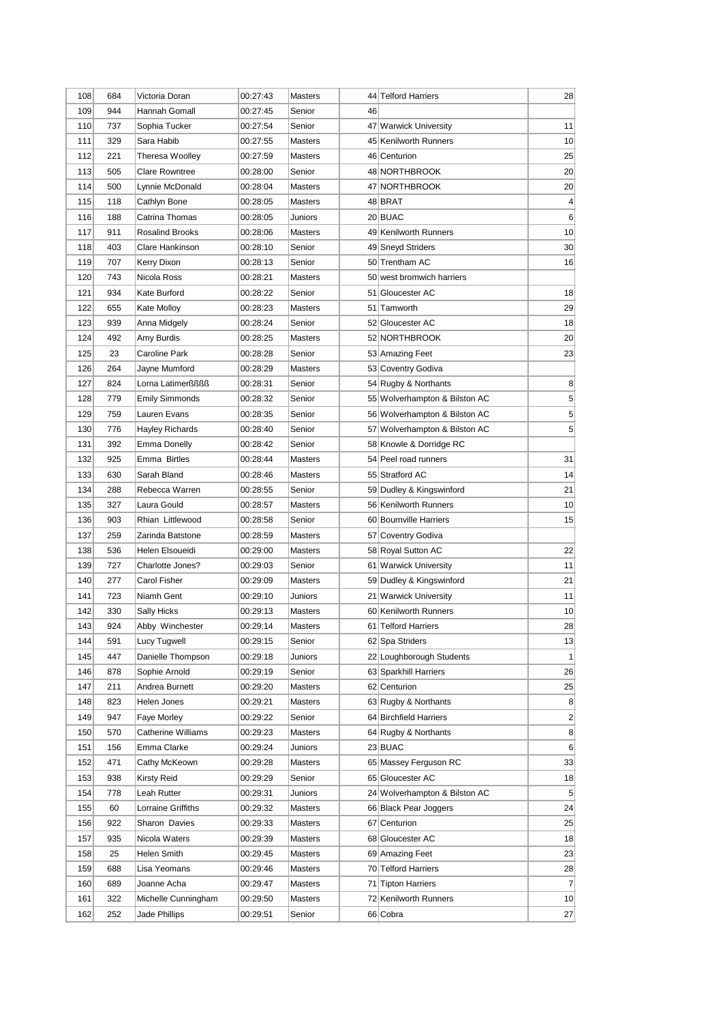| 109<br>944<br>Hannah Gomall<br>00:27:45<br>Senior<br>46<br>110<br>11<br>737<br>Sophia Tucker<br>00:27:54<br>47 Warwick University<br>Senior<br>111<br>329<br>Sara Habib<br>00:27:55<br>45 Kenilworth Runners<br><b>Masters</b><br>112<br>221<br><b>Theresa Woolley</b><br>00:27:59<br>Masters<br>46 Centurion<br>113<br>505<br><b>Clare Rowntree</b><br>48 NORTHBROOK<br>00:28:00<br>Senior<br>114<br>500<br>47 NORTHBROOK<br>Lynnie McDonald<br>00:28:04<br><b>Masters</b><br>115<br>118<br>Cathlyn Bone<br>00:28:05<br>Masters<br>48 BRAT<br>20 BUAC<br>116<br>188<br>Catrina Thomas<br>00:28:05<br>Juniors<br>117<br>911<br><b>Rosalind Brooks</b><br>49 Kenilworth Runners<br>00:28:06<br><b>Masters</b><br>403<br>118<br>Clare Hankinson<br>00:28:10<br>Senior<br>49 Sneyd Striders<br>119<br>707<br>50 Trentham AC<br>Kerry Dixon<br>00:28:13<br>Senior<br>120<br>743<br>Nicola Ross<br>00:28:21<br>50 west bromwich harriers<br><b>Masters</b><br>121<br>934<br>Kate Burford<br>00:28:22<br>Senior<br>51 Gloucester AC<br>122<br>51 Tamworth<br>29<br>655<br>Kate Molloy<br>00:28:23<br><b>Masters</b><br>123<br>939<br>00:28:24<br>52 Gloucester AC<br>Anna Midgely<br>Senior<br>124<br>492<br>52 NORTHBROOK<br>20<br>Amy Burdis<br>00:28:25<br>Masters<br>125<br>Caroline Park<br>23<br>23<br>00:28:28<br>Senior<br>53 Amazing Feet<br>126<br>264<br>Jayne Mumford<br>00:28:29<br>Masters<br>53 Coventry Godiva<br>127<br>824<br>Lorna Latimerßßßß<br>54 Rugby & Northants<br>8<br>00:28:31<br>Senior<br>5<br>128<br>779<br>55 Wolverhampton & Bilston AC<br><b>Emily Simmonds</b><br>00:28:32<br>Senior<br>5<br>129<br>759<br>56 Wolverhampton & Bilston AC<br>Lauren Evans<br>00:28:35<br>Senior<br>5<br>57 Wolverhampton & Bilston AC<br>130<br>776<br><b>Hayley Richards</b><br>00:28:40<br>Senior<br>131<br>392<br>58 Knowle & Dorridge RC<br>Emma Donelly<br>00:28:42<br>Senior<br>132<br>925<br>Emma Birtles<br>31<br>00:28:44<br>54 Peel road runners<br><b>Masters</b><br>133<br>14<br>630<br>Sarah Bland<br>55 Stratford AC<br>00:28:46<br><b>Masters</b><br>134<br>Rebecca Warren<br>21<br>288<br>00:28:55<br>Senior<br>59 Dudley & Kingswinford<br>135<br>327<br>10<br>Laura Gould<br>00:28:57<br>56 Kenilworth Runners<br><b>Masters</b><br>136<br>60 Bournville Harriers<br>903<br>Rhian Littlewood<br>00:28:58<br>Senior<br>137<br>259<br>Zarinda Batstone<br>57 Coventry Godiva<br>00:28:59<br>Masters<br>138<br>Helen Elsoueidi<br>58 Royal Sutton AC<br>22<br>536<br>00:29:00<br>Masters<br>11<br>139<br>727<br>Charlotte Jones?<br>00:29:03<br>Senior<br>61 Warwick University<br>140<br>277<br>Carol Fisher<br>00:29:09<br>59 Dudley & Kingswinford<br>21<br><b>Masters</b><br>141<br>11<br>723<br>Niamh Gent<br>00:29:10<br>21 Warwick University<br>Juniors<br>142<br>330<br>10<br>60 Kenilworth Runners<br>Sally Hicks<br>00:29:13<br><b>Masters</b><br>143<br>924<br>28<br>Abby Winchester<br>00:29:14<br>61 Telford Harriers<br><b>Masters</b><br>144<br>591<br>Lucy Tugwell<br>00:29:15<br>62 Spa Striders<br>Senior<br> 13 <br>145<br>447<br>22 Loughborough Students<br>Danielle Thompson<br>00:29:18<br>Juniors<br>1<br>146<br>878<br>Sophie Arnold<br>00:29:19<br>Senior<br>63 Sparkhill Harriers<br>26<br>147<br>62 Centurion<br>211<br>Andrea Burnett<br>00:29:20<br>Masters<br>25<br>8<br>148<br>823<br>Helen Jones<br>00:29:21<br>Masters<br>63 Rugby & Northants<br>64 Birchfield Harriers<br>$\overline{2}$<br>149<br>947<br>Faye Morley<br>00:29:22<br>Senior<br><b>Catherine Williams</b><br>64 Rugby & Northants<br>8<br>150<br>570<br>00:29:23<br>Masters<br>23 BUAC<br>151<br>156<br>Emma Clarke<br>00:29:24<br>Juniors<br>6<br>65 Massey Ferguson RC<br>152<br>471<br>Cathy McKeown<br>00:29:28<br>Masters<br>33<br>65 Gloucester AC<br>153<br>938<br>Kirsty Reid<br>00:29:29<br>Senior<br>18<br>154<br>778<br>Leah Rutter<br>00:29:31<br>24 Wolverhampton & Bilston AC<br>5<br>Juniors<br>24<br>155<br>60<br>Lorraine Griffiths<br>00:29:32<br>Masters<br>66 Black Pear Joggers<br>67 Centurion<br>156<br>922<br>Sharon Davies<br>00:29:33<br>Masters<br>25<br>157<br>935<br>Nicola Waters<br>00:29:39<br>68 Gloucester AC<br>18<br>Masters<br>158<br>25<br>Helen Smith<br>00:29:45<br>Masters<br>69 Amazing Feet<br>23<br>70 Telford Harriers<br>159<br>688<br>Lisa Yeomans<br>00:29:46<br>Masters<br>28<br>$\overline{7}$<br>160<br>689<br>Joanne Acha<br>00:29:47<br>71 Tipton Harriers<br>Masters<br>72 Kenilworth Runners<br>161<br>322<br>Michelle Cunningham<br>00:29:50<br>Masters<br>10<br>162<br>252<br>Jade Phillips<br>00:29:51<br>Senior<br>66 Cobra<br>27 | 108 | 684 | Victoria Doran | 00:27:43 | <b>Masters</b> | 44 Telford Harriers | 28 |
|-----------------------------------------------------------------------------------------------------------------------------------------------------------------------------------------------------------------------------------------------------------------------------------------------------------------------------------------------------------------------------------------------------------------------------------------------------------------------------------------------------------------------------------------------------------------------------------------------------------------------------------------------------------------------------------------------------------------------------------------------------------------------------------------------------------------------------------------------------------------------------------------------------------------------------------------------------------------------------------------------------------------------------------------------------------------------------------------------------------------------------------------------------------------------------------------------------------------------------------------------------------------------------------------------------------------------------------------------------------------------------------------------------------------------------------------------------------------------------------------------------------------------------------------------------------------------------------------------------------------------------------------------------------------------------------------------------------------------------------------------------------------------------------------------------------------------------------------------------------------------------------------------------------------------------------------------------------------------------------------------------------------------------------------------------------------------------------------------------------------------------------------------------------------------------------------------------------------------------------------------------------------------------------------------------------------------------------------------------------------------------------------------------------------------------------------------------------------------------------------------------------------------------------------------------------------------------------------------------------------------------------------------------------------------------------------------------------------------------------------------------------------------------------------------------------------------------------------------------------------------------------------------------------------------------------------------------------------------------------------------------------------------------------------------------------------------------------------------------------------------------------------------------------------------------------------------------------------------------------------------------------------------------------------------------------------------------------------------------------------------------------------------------------------------------------------------------------------------------------------------------------------------------------------------------------------------------------------------------------------------------------------------------------------------------------------------------------------------------------------------------------------------------------------------------------------------------------------------------------------------------------------------------------------------------------------------------------------------------------------------------------------------------------------------------------------------------------------------------------------------------------------------------------------------------------------------------------------------------------------------------------------------------------------------------------------------------------------------------------------------------------------------------------------------------------------------------------------------------------------------------------------------------------------------------------------------------------------------------------------------------|-----|-----|----------------|----------|----------------|---------------------|----|
|                                                                                                                                                                                                                                                                                                                                                                                                                                                                                                                                                                                                                                                                                                                                                                                                                                                                                                                                                                                                                                                                                                                                                                                                                                                                                                                                                                                                                                                                                                                                                                                                                                                                                                                                                                                                                                                                                                                                                                                                                                                                                                                                                                                                                                                                                                                                                                                                                                                                                                                                                                                                                                                                                                                                                                                                                                                                                                                                                                                                                                                                                                                                                                                                                                                                                                                                                                                                                                                                                                                                                                                                                                                                                                                                                                                                                                                                                                                                                                                                                                                                                                                                                                                                                                                                                                                                                                                                                                                                                                                                                                                                                             |     |     |                |          |                |                     |    |
|                                                                                                                                                                                                                                                                                                                                                                                                                                                                                                                                                                                                                                                                                                                                                                                                                                                                                                                                                                                                                                                                                                                                                                                                                                                                                                                                                                                                                                                                                                                                                                                                                                                                                                                                                                                                                                                                                                                                                                                                                                                                                                                                                                                                                                                                                                                                                                                                                                                                                                                                                                                                                                                                                                                                                                                                                                                                                                                                                                                                                                                                                                                                                                                                                                                                                                                                                                                                                                                                                                                                                                                                                                                                                                                                                                                                                                                                                                                                                                                                                                                                                                                                                                                                                                                                                                                                                                                                                                                                                                                                                                                                                             |     |     |                |          |                |                     |    |
|                                                                                                                                                                                                                                                                                                                                                                                                                                                                                                                                                                                                                                                                                                                                                                                                                                                                                                                                                                                                                                                                                                                                                                                                                                                                                                                                                                                                                                                                                                                                                                                                                                                                                                                                                                                                                                                                                                                                                                                                                                                                                                                                                                                                                                                                                                                                                                                                                                                                                                                                                                                                                                                                                                                                                                                                                                                                                                                                                                                                                                                                                                                                                                                                                                                                                                                                                                                                                                                                                                                                                                                                                                                                                                                                                                                                                                                                                                                                                                                                                                                                                                                                                                                                                                                                                                                                                                                                                                                                                                                                                                                                                             |     |     |                |          |                |                     | 10 |
|                                                                                                                                                                                                                                                                                                                                                                                                                                                                                                                                                                                                                                                                                                                                                                                                                                                                                                                                                                                                                                                                                                                                                                                                                                                                                                                                                                                                                                                                                                                                                                                                                                                                                                                                                                                                                                                                                                                                                                                                                                                                                                                                                                                                                                                                                                                                                                                                                                                                                                                                                                                                                                                                                                                                                                                                                                                                                                                                                                                                                                                                                                                                                                                                                                                                                                                                                                                                                                                                                                                                                                                                                                                                                                                                                                                                                                                                                                                                                                                                                                                                                                                                                                                                                                                                                                                                                                                                                                                                                                                                                                                                                             |     |     |                |          |                |                     | 25 |
|                                                                                                                                                                                                                                                                                                                                                                                                                                                                                                                                                                                                                                                                                                                                                                                                                                                                                                                                                                                                                                                                                                                                                                                                                                                                                                                                                                                                                                                                                                                                                                                                                                                                                                                                                                                                                                                                                                                                                                                                                                                                                                                                                                                                                                                                                                                                                                                                                                                                                                                                                                                                                                                                                                                                                                                                                                                                                                                                                                                                                                                                                                                                                                                                                                                                                                                                                                                                                                                                                                                                                                                                                                                                                                                                                                                                                                                                                                                                                                                                                                                                                                                                                                                                                                                                                                                                                                                                                                                                                                                                                                                                                             |     |     |                |          |                |                     | 20 |
|                                                                                                                                                                                                                                                                                                                                                                                                                                                                                                                                                                                                                                                                                                                                                                                                                                                                                                                                                                                                                                                                                                                                                                                                                                                                                                                                                                                                                                                                                                                                                                                                                                                                                                                                                                                                                                                                                                                                                                                                                                                                                                                                                                                                                                                                                                                                                                                                                                                                                                                                                                                                                                                                                                                                                                                                                                                                                                                                                                                                                                                                                                                                                                                                                                                                                                                                                                                                                                                                                                                                                                                                                                                                                                                                                                                                                                                                                                                                                                                                                                                                                                                                                                                                                                                                                                                                                                                                                                                                                                                                                                                                                             |     |     |                |          |                |                     | 20 |
|                                                                                                                                                                                                                                                                                                                                                                                                                                                                                                                                                                                                                                                                                                                                                                                                                                                                                                                                                                                                                                                                                                                                                                                                                                                                                                                                                                                                                                                                                                                                                                                                                                                                                                                                                                                                                                                                                                                                                                                                                                                                                                                                                                                                                                                                                                                                                                                                                                                                                                                                                                                                                                                                                                                                                                                                                                                                                                                                                                                                                                                                                                                                                                                                                                                                                                                                                                                                                                                                                                                                                                                                                                                                                                                                                                                                                                                                                                                                                                                                                                                                                                                                                                                                                                                                                                                                                                                                                                                                                                                                                                                                                             |     |     |                |          |                |                     | 4  |
|                                                                                                                                                                                                                                                                                                                                                                                                                                                                                                                                                                                                                                                                                                                                                                                                                                                                                                                                                                                                                                                                                                                                                                                                                                                                                                                                                                                                                                                                                                                                                                                                                                                                                                                                                                                                                                                                                                                                                                                                                                                                                                                                                                                                                                                                                                                                                                                                                                                                                                                                                                                                                                                                                                                                                                                                                                                                                                                                                                                                                                                                                                                                                                                                                                                                                                                                                                                                                                                                                                                                                                                                                                                                                                                                                                                                                                                                                                                                                                                                                                                                                                                                                                                                                                                                                                                                                                                                                                                                                                                                                                                                                             |     |     |                |          |                |                     | 6  |
|                                                                                                                                                                                                                                                                                                                                                                                                                                                                                                                                                                                                                                                                                                                                                                                                                                                                                                                                                                                                                                                                                                                                                                                                                                                                                                                                                                                                                                                                                                                                                                                                                                                                                                                                                                                                                                                                                                                                                                                                                                                                                                                                                                                                                                                                                                                                                                                                                                                                                                                                                                                                                                                                                                                                                                                                                                                                                                                                                                                                                                                                                                                                                                                                                                                                                                                                                                                                                                                                                                                                                                                                                                                                                                                                                                                                                                                                                                                                                                                                                                                                                                                                                                                                                                                                                                                                                                                                                                                                                                                                                                                                                             |     |     |                |          |                |                     | 10 |
|                                                                                                                                                                                                                                                                                                                                                                                                                                                                                                                                                                                                                                                                                                                                                                                                                                                                                                                                                                                                                                                                                                                                                                                                                                                                                                                                                                                                                                                                                                                                                                                                                                                                                                                                                                                                                                                                                                                                                                                                                                                                                                                                                                                                                                                                                                                                                                                                                                                                                                                                                                                                                                                                                                                                                                                                                                                                                                                                                                                                                                                                                                                                                                                                                                                                                                                                                                                                                                                                                                                                                                                                                                                                                                                                                                                                                                                                                                                                                                                                                                                                                                                                                                                                                                                                                                                                                                                                                                                                                                                                                                                                                             |     |     |                |          |                |                     | 30 |
|                                                                                                                                                                                                                                                                                                                                                                                                                                                                                                                                                                                                                                                                                                                                                                                                                                                                                                                                                                                                                                                                                                                                                                                                                                                                                                                                                                                                                                                                                                                                                                                                                                                                                                                                                                                                                                                                                                                                                                                                                                                                                                                                                                                                                                                                                                                                                                                                                                                                                                                                                                                                                                                                                                                                                                                                                                                                                                                                                                                                                                                                                                                                                                                                                                                                                                                                                                                                                                                                                                                                                                                                                                                                                                                                                                                                                                                                                                                                                                                                                                                                                                                                                                                                                                                                                                                                                                                                                                                                                                                                                                                                                             |     |     |                |          |                |                     | 16 |
|                                                                                                                                                                                                                                                                                                                                                                                                                                                                                                                                                                                                                                                                                                                                                                                                                                                                                                                                                                                                                                                                                                                                                                                                                                                                                                                                                                                                                                                                                                                                                                                                                                                                                                                                                                                                                                                                                                                                                                                                                                                                                                                                                                                                                                                                                                                                                                                                                                                                                                                                                                                                                                                                                                                                                                                                                                                                                                                                                                                                                                                                                                                                                                                                                                                                                                                                                                                                                                                                                                                                                                                                                                                                                                                                                                                                                                                                                                                                                                                                                                                                                                                                                                                                                                                                                                                                                                                                                                                                                                                                                                                                                             |     |     |                |          |                |                     |    |
|                                                                                                                                                                                                                                                                                                                                                                                                                                                                                                                                                                                                                                                                                                                                                                                                                                                                                                                                                                                                                                                                                                                                                                                                                                                                                                                                                                                                                                                                                                                                                                                                                                                                                                                                                                                                                                                                                                                                                                                                                                                                                                                                                                                                                                                                                                                                                                                                                                                                                                                                                                                                                                                                                                                                                                                                                                                                                                                                                                                                                                                                                                                                                                                                                                                                                                                                                                                                                                                                                                                                                                                                                                                                                                                                                                                                                                                                                                                                                                                                                                                                                                                                                                                                                                                                                                                                                                                                                                                                                                                                                                                                                             |     |     |                |          |                |                     | 18 |
|                                                                                                                                                                                                                                                                                                                                                                                                                                                                                                                                                                                                                                                                                                                                                                                                                                                                                                                                                                                                                                                                                                                                                                                                                                                                                                                                                                                                                                                                                                                                                                                                                                                                                                                                                                                                                                                                                                                                                                                                                                                                                                                                                                                                                                                                                                                                                                                                                                                                                                                                                                                                                                                                                                                                                                                                                                                                                                                                                                                                                                                                                                                                                                                                                                                                                                                                                                                                                                                                                                                                                                                                                                                                                                                                                                                                                                                                                                                                                                                                                                                                                                                                                                                                                                                                                                                                                                                                                                                                                                                                                                                                                             |     |     |                |          |                |                     |    |
|                                                                                                                                                                                                                                                                                                                                                                                                                                                                                                                                                                                                                                                                                                                                                                                                                                                                                                                                                                                                                                                                                                                                                                                                                                                                                                                                                                                                                                                                                                                                                                                                                                                                                                                                                                                                                                                                                                                                                                                                                                                                                                                                                                                                                                                                                                                                                                                                                                                                                                                                                                                                                                                                                                                                                                                                                                                                                                                                                                                                                                                                                                                                                                                                                                                                                                                                                                                                                                                                                                                                                                                                                                                                                                                                                                                                                                                                                                                                                                                                                                                                                                                                                                                                                                                                                                                                                                                                                                                                                                                                                                                                                             |     |     |                |          |                |                     | 18 |
|                                                                                                                                                                                                                                                                                                                                                                                                                                                                                                                                                                                                                                                                                                                                                                                                                                                                                                                                                                                                                                                                                                                                                                                                                                                                                                                                                                                                                                                                                                                                                                                                                                                                                                                                                                                                                                                                                                                                                                                                                                                                                                                                                                                                                                                                                                                                                                                                                                                                                                                                                                                                                                                                                                                                                                                                                                                                                                                                                                                                                                                                                                                                                                                                                                                                                                                                                                                                                                                                                                                                                                                                                                                                                                                                                                                                                                                                                                                                                                                                                                                                                                                                                                                                                                                                                                                                                                                                                                                                                                                                                                                                                             |     |     |                |          |                |                     |    |
|                                                                                                                                                                                                                                                                                                                                                                                                                                                                                                                                                                                                                                                                                                                                                                                                                                                                                                                                                                                                                                                                                                                                                                                                                                                                                                                                                                                                                                                                                                                                                                                                                                                                                                                                                                                                                                                                                                                                                                                                                                                                                                                                                                                                                                                                                                                                                                                                                                                                                                                                                                                                                                                                                                                                                                                                                                                                                                                                                                                                                                                                                                                                                                                                                                                                                                                                                                                                                                                                                                                                                                                                                                                                                                                                                                                                                                                                                                                                                                                                                                                                                                                                                                                                                                                                                                                                                                                                                                                                                                                                                                                                                             |     |     |                |          |                |                     |    |
|                                                                                                                                                                                                                                                                                                                                                                                                                                                                                                                                                                                                                                                                                                                                                                                                                                                                                                                                                                                                                                                                                                                                                                                                                                                                                                                                                                                                                                                                                                                                                                                                                                                                                                                                                                                                                                                                                                                                                                                                                                                                                                                                                                                                                                                                                                                                                                                                                                                                                                                                                                                                                                                                                                                                                                                                                                                                                                                                                                                                                                                                                                                                                                                                                                                                                                                                                                                                                                                                                                                                                                                                                                                                                                                                                                                                                                                                                                                                                                                                                                                                                                                                                                                                                                                                                                                                                                                                                                                                                                                                                                                                                             |     |     |                |          |                |                     |    |
|                                                                                                                                                                                                                                                                                                                                                                                                                                                                                                                                                                                                                                                                                                                                                                                                                                                                                                                                                                                                                                                                                                                                                                                                                                                                                                                                                                                                                                                                                                                                                                                                                                                                                                                                                                                                                                                                                                                                                                                                                                                                                                                                                                                                                                                                                                                                                                                                                                                                                                                                                                                                                                                                                                                                                                                                                                                                                                                                                                                                                                                                                                                                                                                                                                                                                                                                                                                                                                                                                                                                                                                                                                                                                                                                                                                                                                                                                                                                                                                                                                                                                                                                                                                                                                                                                                                                                                                                                                                                                                                                                                                                                             |     |     |                |          |                |                     |    |
|                                                                                                                                                                                                                                                                                                                                                                                                                                                                                                                                                                                                                                                                                                                                                                                                                                                                                                                                                                                                                                                                                                                                                                                                                                                                                                                                                                                                                                                                                                                                                                                                                                                                                                                                                                                                                                                                                                                                                                                                                                                                                                                                                                                                                                                                                                                                                                                                                                                                                                                                                                                                                                                                                                                                                                                                                                                                                                                                                                                                                                                                                                                                                                                                                                                                                                                                                                                                                                                                                                                                                                                                                                                                                                                                                                                                                                                                                                                                                                                                                                                                                                                                                                                                                                                                                                                                                                                                                                                                                                                                                                                                                             |     |     |                |          |                |                     |    |
|                                                                                                                                                                                                                                                                                                                                                                                                                                                                                                                                                                                                                                                                                                                                                                                                                                                                                                                                                                                                                                                                                                                                                                                                                                                                                                                                                                                                                                                                                                                                                                                                                                                                                                                                                                                                                                                                                                                                                                                                                                                                                                                                                                                                                                                                                                                                                                                                                                                                                                                                                                                                                                                                                                                                                                                                                                                                                                                                                                                                                                                                                                                                                                                                                                                                                                                                                                                                                                                                                                                                                                                                                                                                                                                                                                                                                                                                                                                                                                                                                                                                                                                                                                                                                                                                                                                                                                                                                                                                                                                                                                                                                             |     |     |                |          |                |                     |    |
|                                                                                                                                                                                                                                                                                                                                                                                                                                                                                                                                                                                                                                                                                                                                                                                                                                                                                                                                                                                                                                                                                                                                                                                                                                                                                                                                                                                                                                                                                                                                                                                                                                                                                                                                                                                                                                                                                                                                                                                                                                                                                                                                                                                                                                                                                                                                                                                                                                                                                                                                                                                                                                                                                                                                                                                                                                                                                                                                                                                                                                                                                                                                                                                                                                                                                                                                                                                                                                                                                                                                                                                                                                                                                                                                                                                                                                                                                                                                                                                                                                                                                                                                                                                                                                                                                                                                                                                                                                                                                                                                                                                                                             |     |     |                |          |                |                     |    |
|                                                                                                                                                                                                                                                                                                                                                                                                                                                                                                                                                                                                                                                                                                                                                                                                                                                                                                                                                                                                                                                                                                                                                                                                                                                                                                                                                                                                                                                                                                                                                                                                                                                                                                                                                                                                                                                                                                                                                                                                                                                                                                                                                                                                                                                                                                                                                                                                                                                                                                                                                                                                                                                                                                                                                                                                                                                                                                                                                                                                                                                                                                                                                                                                                                                                                                                                                                                                                                                                                                                                                                                                                                                                                                                                                                                                                                                                                                                                                                                                                                                                                                                                                                                                                                                                                                                                                                                                                                                                                                                                                                                                                             |     |     |                |          |                |                     |    |
|                                                                                                                                                                                                                                                                                                                                                                                                                                                                                                                                                                                                                                                                                                                                                                                                                                                                                                                                                                                                                                                                                                                                                                                                                                                                                                                                                                                                                                                                                                                                                                                                                                                                                                                                                                                                                                                                                                                                                                                                                                                                                                                                                                                                                                                                                                                                                                                                                                                                                                                                                                                                                                                                                                                                                                                                                                                                                                                                                                                                                                                                                                                                                                                                                                                                                                                                                                                                                                                                                                                                                                                                                                                                                                                                                                                                                                                                                                                                                                                                                                                                                                                                                                                                                                                                                                                                                                                                                                                                                                                                                                                                                             |     |     |                |          |                |                     |    |
|                                                                                                                                                                                                                                                                                                                                                                                                                                                                                                                                                                                                                                                                                                                                                                                                                                                                                                                                                                                                                                                                                                                                                                                                                                                                                                                                                                                                                                                                                                                                                                                                                                                                                                                                                                                                                                                                                                                                                                                                                                                                                                                                                                                                                                                                                                                                                                                                                                                                                                                                                                                                                                                                                                                                                                                                                                                                                                                                                                                                                                                                                                                                                                                                                                                                                                                                                                                                                                                                                                                                                                                                                                                                                                                                                                                                                                                                                                                                                                                                                                                                                                                                                                                                                                                                                                                                                                                                                                                                                                                                                                                                                             |     |     |                |          |                |                     |    |
|                                                                                                                                                                                                                                                                                                                                                                                                                                                                                                                                                                                                                                                                                                                                                                                                                                                                                                                                                                                                                                                                                                                                                                                                                                                                                                                                                                                                                                                                                                                                                                                                                                                                                                                                                                                                                                                                                                                                                                                                                                                                                                                                                                                                                                                                                                                                                                                                                                                                                                                                                                                                                                                                                                                                                                                                                                                                                                                                                                                                                                                                                                                                                                                                                                                                                                                                                                                                                                                                                                                                                                                                                                                                                                                                                                                                                                                                                                                                                                                                                                                                                                                                                                                                                                                                                                                                                                                                                                                                                                                                                                                                                             |     |     |                |          |                |                     |    |
|                                                                                                                                                                                                                                                                                                                                                                                                                                                                                                                                                                                                                                                                                                                                                                                                                                                                                                                                                                                                                                                                                                                                                                                                                                                                                                                                                                                                                                                                                                                                                                                                                                                                                                                                                                                                                                                                                                                                                                                                                                                                                                                                                                                                                                                                                                                                                                                                                                                                                                                                                                                                                                                                                                                                                                                                                                                                                                                                                                                                                                                                                                                                                                                                                                                                                                                                                                                                                                                                                                                                                                                                                                                                                                                                                                                                                                                                                                                                                                                                                                                                                                                                                                                                                                                                                                                                                                                                                                                                                                                                                                                                                             |     |     |                |          |                |                     |    |
|                                                                                                                                                                                                                                                                                                                                                                                                                                                                                                                                                                                                                                                                                                                                                                                                                                                                                                                                                                                                                                                                                                                                                                                                                                                                                                                                                                                                                                                                                                                                                                                                                                                                                                                                                                                                                                                                                                                                                                                                                                                                                                                                                                                                                                                                                                                                                                                                                                                                                                                                                                                                                                                                                                                                                                                                                                                                                                                                                                                                                                                                                                                                                                                                                                                                                                                                                                                                                                                                                                                                                                                                                                                                                                                                                                                                                                                                                                                                                                                                                                                                                                                                                                                                                                                                                                                                                                                                                                                                                                                                                                                                                             |     |     |                |          |                |                     | 15 |
|                                                                                                                                                                                                                                                                                                                                                                                                                                                                                                                                                                                                                                                                                                                                                                                                                                                                                                                                                                                                                                                                                                                                                                                                                                                                                                                                                                                                                                                                                                                                                                                                                                                                                                                                                                                                                                                                                                                                                                                                                                                                                                                                                                                                                                                                                                                                                                                                                                                                                                                                                                                                                                                                                                                                                                                                                                                                                                                                                                                                                                                                                                                                                                                                                                                                                                                                                                                                                                                                                                                                                                                                                                                                                                                                                                                                                                                                                                                                                                                                                                                                                                                                                                                                                                                                                                                                                                                                                                                                                                                                                                                                                             |     |     |                |          |                |                     |    |
|                                                                                                                                                                                                                                                                                                                                                                                                                                                                                                                                                                                                                                                                                                                                                                                                                                                                                                                                                                                                                                                                                                                                                                                                                                                                                                                                                                                                                                                                                                                                                                                                                                                                                                                                                                                                                                                                                                                                                                                                                                                                                                                                                                                                                                                                                                                                                                                                                                                                                                                                                                                                                                                                                                                                                                                                                                                                                                                                                                                                                                                                                                                                                                                                                                                                                                                                                                                                                                                                                                                                                                                                                                                                                                                                                                                                                                                                                                                                                                                                                                                                                                                                                                                                                                                                                                                                                                                                                                                                                                                                                                                                                             |     |     |                |          |                |                     |    |
|                                                                                                                                                                                                                                                                                                                                                                                                                                                                                                                                                                                                                                                                                                                                                                                                                                                                                                                                                                                                                                                                                                                                                                                                                                                                                                                                                                                                                                                                                                                                                                                                                                                                                                                                                                                                                                                                                                                                                                                                                                                                                                                                                                                                                                                                                                                                                                                                                                                                                                                                                                                                                                                                                                                                                                                                                                                                                                                                                                                                                                                                                                                                                                                                                                                                                                                                                                                                                                                                                                                                                                                                                                                                                                                                                                                                                                                                                                                                                                                                                                                                                                                                                                                                                                                                                                                                                                                                                                                                                                                                                                                                                             |     |     |                |          |                |                     |    |
|                                                                                                                                                                                                                                                                                                                                                                                                                                                                                                                                                                                                                                                                                                                                                                                                                                                                                                                                                                                                                                                                                                                                                                                                                                                                                                                                                                                                                                                                                                                                                                                                                                                                                                                                                                                                                                                                                                                                                                                                                                                                                                                                                                                                                                                                                                                                                                                                                                                                                                                                                                                                                                                                                                                                                                                                                                                                                                                                                                                                                                                                                                                                                                                                                                                                                                                                                                                                                                                                                                                                                                                                                                                                                                                                                                                                                                                                                                                                                                                                                                                                                                                                                                                                                                                                                                                                                                                                                                                                                                                                                                                                                             |     |     |                |          |                |                     |    |
|                                                                                                                                                                                                                                                                                                                                                                                                                                                                                                                                                                                                                                                                                                                                                                                                                                                                                                                                                                                                                                                                                                                                                                                                                                                                                                                                                                                                                                                                                                                                                                                                                                                                                                                                                                                                                                                                                                                                                                                                                                                                                                                                                                                                                                                                                                                                                                                                                                                                                                                                                                                                                                                                                                                                                                                                                                                                                                                                                                                                                                                                                                                                                                                                                                                                                                                                                                                                                                                                                                                                                                                                                                                                                                                                                                                                                                                                                                                                                                                                                                                                                                                                                                                                                                                                                                                                                                                                                                                                                                                                                                                                                             |     |     |                |          |                |                     |    |
|                                                                                                                                                                                                                                                                                                                                                                                                                                                                                                                                                                                                                                                                                                                                                                                                                                                                                                                                                                                                                                                                                                                                                                                                                                                                                                                                                                                                                                                                                                                                                                                                                                                                                                                                                                                                                                                                                                                                                                                                                                                                                                                                                                                                                                                                                                                                                                                                                                                                                                                                                                                                                                                                                                                                                                                                                                                                                                                                                                                                                                                                                                                                                                                                                                                                                                                                                                                                                                                                                                                                                                                                                                                                                                                                                                                                                                                                                                                                                                                                                                                                                                                                                                                                                                                                                                                                                                                                                                                                                                                                                                                                                             |     |     |                |          |                |                     |    |
|                                                                                                                                                                                                                                                                                                                                                                                                                                                                                                                                                                                                                                                                                                                                                                                                                                                                                                                                                                                                                                                                                                                                                                                                                                                                                                                                                                                                                                                                                                                                                                                                                                                                                                                                                                                                                                                                                                                                                                                                                                                                                                                                                                                                                                                                                                                                                                                                                                                                                                                                                                                                                                                                                                                                                                                                                                                                                                                                                                                                                                                                                                                                                                                                                                                                                                                                                                                                                                                                                                                                                                                                                                                                                                                                                                                                                                                                                                                                                                                                                                                                                                                                                                                                                                                                                                                                                                                                                                                                                                                                                                                                                             |     |     |                |          |                |                     |    |
|                                                                                                                                                                                                                                                                                                                                                                                                                                                                                                                                                                                                                                                                                                                                                                                                                                                                                                                                                                                                                                                                                                                                                                                                                                                                                                                                                                                                                                                                                                                                                                                                                                                                                                                                                                                                                                                                                                                                                                                                                                                                                                                                                                                                                                                                                                                                                                                                                                                                                                                                                                                                                                                                                                                                                                                                                                                                                                                                                                                                                                                                                                                                                                                                                                                                                                                                                                                                                                                                                                                                                                                                                                                                                                                                                                                                                                                                                                                                                                                                                                                                                                                                                                                                                                                                                                                                                                                                                                                                                                                                                                                                                             |     |     |                |          |                |                     |    |
|                                                                                                                                                                                                                                                                                                                                                                                                                                                                                                                                                                                                                                                                                                                                                                                                                                                                                                                                                                                                                                                                                                                                                                                                                                                                                                                                                                                                                                                                                                                                                                                                                                                                                                                                                                                                                                                                                                                                                                                                                                                                                                                                                                                                                                                                                                                                                                                                                                                                                                                                                                                                                                                                                                                                                                                                                                                                                                                                                                                                                                                                                                                                                                                                                                                                                                                                                                                                                                                                                                                                                                                                                                                                                                                                                                                                                                                                                                                                                                                                                                                                                                                                                                                                                                                                                                                                                                                                                                                                                                                                                                                                                             |     |     |                |          |                |                     |    |
|                                                                                                                                                                                                                                                                                                                                                                                                                                                                                                                                                                                                                                                                                                                                                                                                                                                                                                                                                                                                                                                                                                                                                                                                                                                                                                                                                                                                                                                                                                                                                                                                                                                                                                                                                                                                                                                                                                                                                                                                                                                                                                                                                                                                                                                                                                                                                                                                                                                                                                                                                                                                                                                                                                                                                                                                                                                                                                                                                                                                                                                                                                                                                                                                                                                                                                                                                                                                                                                                                                                                                                                                                                                                                                                                                                                                                                                                                                                                                                                                                                                                                                                                                                                                                                                                                                                                                                                                                                                                                                                                                                                                                             |     |     |                |          |                |                     |    |
|                                                                                                                                                                                                                                                                                                                                                                                                                                                                                                                                                                                                                                                                                                                                                                                                                                                                                                                                                                                                                                                                                                                                                                                                                                                                                                                                                                                                                                                                                                                                                                                                                                                                                                                                                                                                                                                                                                                                                                                                                                                                                                                                                                                                                                                                                                                                                                                                                                                                                                                                                                                                                                                                                                                                                                                                                                                                                                                                                                                                                                                                                                                                                                                                                                                                                                                                                                                                                                                                                                                                                                                                                                                                                                                                                                                                                                                                                                                                                                                                                                                                                                                                                                                                                                                                                                                                                                                                                                                                                                                                                                                                                             |     |     |                |          |                |                     |    |
|                                                                                                                                                                                                                                                                                                                                                                                                                                                                                                                                                                                                                                                                                                                                                                                                                                                                                                                                                                                                                                                                                                                                                                                                                                                                                                                                                                                                                                                                                                                                                                                                                                                                                                                                                                                                                                                                                                                                                                                                                                                                                                                                                                                                                                                                                                                                                                                                                                                                                                                                                                                                                                                                                                                                                                                                                                                                                                                                                                                                                                                                                                                                                                                                                                                                                                                                                                                                                                                                                                                                                                                                                                                                                                                                                                                                                                                                                                                                                                                                                                                                                                                                                                                                                                                                                                                                                                                                                                                                                                                                                                                                                             |     |     |                |          |                |                     |    |
|                                                                                                                                                                                                                                                                                                                                                                                                                                                                                                                                                                                                                                                                                                                                                                                                                                                                                                                                                                                                                                                                                                                                                                                                                                                                                                                                                                                                                                                                                                                                                                                                                                                                                                                                                                                                                                                                                                                                                                                                                                                                                                                                                                                                                                                                                                                                                                                                                                                                                                                                                                                                                                                                                                                                                                                                                                                                                                                                                                                                                                                                                                                                                                                                                                                                                                                                                                                                                                                                                                                                                                                                                                                                                                                                                                                                                                                                                                                                                                                                                                                                                                                                                                                                                                                                                                                                                                                                                                                                                                                                                                                                                             |     |     |                |          |                |                     |    |
|                                                                                                                                                                                                                                                                                                                                                                                                                                                                                                                                                                                                                                                                                                                                                                                                                                                                                                                                                                                                                                                                                                                                                                                                                                                                                                                                                                                                                                                                                                                                                                                                                                                                                                                                                                                                                                                                                                                                                                                                                                                                                                                                                                                                                                                                                                                                                                                                                                                                                                                                                                                                                                                                                                                                                                                                                                                                                                                                                                                                                                                                                                                                                                                                                                                                                                                                                                                                                                                                                                                                                                                                                                                                                                                                                                                                                                                                                                                                                                                                                                                                                                                                                                                                                                                                                                                                                                                                                                                                                                                                                                                                                             |     |     |                |          |                |                     |    |
|                                                                                                                                                                                                                                                                                                                                                                                                                                                                                                                                                                                                                                                                                                                                                                                                                                                                                                                                                                                                                                                                                                                                                                                                                                                                                                                                                                                                                                                                                                                                                                                                                                                                                                                                                                                                                                                                                                                                                                                                                                                                                                                                                                                                                                                                                                                                                                                                                                                                                                                                                                                                                                                                                                                                                                                                                                                                                                                                                                                                                                                                                                                                                                                                                                                                                                                                                                                                                                                                                                                                                                                                                                                                                                                                                                                                                                                                                                                                                                                                                                                                                                                                                                                                                                                                                                                                                                                                                                                                                                                                                                                                                             |     |     |                |          |                |                     |    |
|                                                                                                                                                                                                                                                                                                                                                                                                                                                                                                                                                                                                                                                                                                                                                                                                                                                                                                                                                                                                                                                                                                                                                                                                                                                                                                                                                                                                                                                                                                                                                                                                                                                                                                                                                                                                                                                                                                                                                                                                                                                                                                                                                                                                                                                                                                                                                                                                                                                                                                                                                                                                                                                                                                                                                                                                                                                                                                                                                                                                                                                                                                                                                                                                                                                                                                                                                                                                                                                                                                                                                                                                                                                                                                                                                                                                                                                                                                                                                                                                                                                                                                                                                                                                                                                                                                                                                                                                                                                                                                                                                                                                                             |     |     |                |          |                |                     |    |
|                                                                                                                                                                                                                                                                                                                                                                                                                                                                                                                                                                                                                                                                                                                                                                                                                                                                                                                                                                                                                                                                                                                                                                                                                                                                                                                                                                                                                                                                                                                                                                                                                                                                                                                                                                                                                                                                                                                                                                                                                                                                                                                                                                                                                                                                                                                                                                                                                                                                                                                                                                                                                                                                                                                                                                                                                                                                                                                                                                                                                                                                                                                                                                                                                                                                                                                                                                                                                                                                                                                                                                                                                                                                                                                                                                                                                                                                                                                                                                                                                                                                                                                                                                                                                                                                                                                                                                                                                                                                                                                                                                                                                             |     |     |                |          |                |                     |    |
|                                                                                                                                                                                                                                                                                                                                                                                                                                                                                                                                                                                                                                                                                                                                                                                                                                                                                                                                                                                                                                                                                                                                                                                                                                                                                                                                                                                                                                                                                                                                                                                                                                                                                                                                                                                                                                                                                                                                                                                                                                                                                                                                                                                                                                                                                                                                                                                                                                                                                                                                                                                                                                                                                                                                                                                                                                                                                                                                                                                                                                                                                                                                                                                                                                                                                                                                                                                                                                                                                                                                                                                                                                                                                                                                                                                                                                                                                                                                                                                                                                                                                                                                                                                                                                                                                                                                                                                                                                                                                                                                                                                                                             |     |     |                |          |                |                     |    |
|                                                                                                                                                                                                                                                                                                                                                                                                                                                                                                                                                                                                                                                                                                                                                                                                                                                                                                                                                                                                                                                                                                                                                                                                                                                                                                                                                                                                                                                                                                                                                                                                                                                                                                                                                                                                                                                                                                                                                                                                                                                                                                                                                                                                                                                                                                                                                                                                                                                                                                                                                                                                                                                                                                                                                                                                                                                                                                                                                                                                                                                                                                                                                                                                                                                                                                                                                                                                                                                                                                                                                                                                                                                                                                                                                                                                                                                                                                                                                                                                                                                                                                                                                                                                                                                                                                                                                                                                                                                                                                                                                                                                                             |     |     |                |          |                |                     |    |
|                                                                                                                                                                                                                                                                                                                                                                                                                                                                                                                                                                                                                                                                                                                                                                                                                                                                                                                                                                                                                                                                                                                                                                                                                                                                                                                                                                                                                                                                                                                                                                                                                                                                                                                                                                                                                                                                                                                                                                                                                                                                                                                                                                                                                                                                                                                                                                                                                                                                                                                                                                                                                                                                                                                                                                                                                                                                                                                                                                                                                                                                                                                                                                                                                                                                                                                                                                                                                                                                                                                                                                                                                                                                                                                                                                                                                                                                                                                                                                                                                                                                                                                                                                                                                                                                                                                                                                                                                                                                                                                                                                                                                             |     |     |                |          |                |                     |    |
|                                                                                                                                                                                                                                                                                                                                                                                                                                                                                                                                                                                                                                                                                                                                                                                                                                                                                                                                                                                                                                                                                                                                                                                                                                                                                                                                                                                                                                                                                                                                                                                                                                                                                                                                                                                                                                                                                                                                                                                                                                                                                                                                                                                                                                                                                                                                                                                                                                                                                                                                                                                                                                                                                                                                                                                                                                                                                                                                                                                                                                                                                                                                                                                                                                                                                                                                                                                                                                                                                                                                                                                                                                                                                                                                                                                                                                                                                                                                                                                                                                                                                                                                                                                                                                                                                                                                                                                                                                                                                                                                                                                                                             |     |     |                |          |                |                     |    |
|                                                                                                                                                                                                                                                                                                                                                                                                                                                                                                                                                                                                                                                                                                                                                                                                                                                                                                                                                                                                                                                                                                                                                                                                                                                                                                                                                                                                                                                                                                                                                                                                                                                                                                                                                                                                                                                                                                                                                                                                                                                                                                                                                                                                                                                                                                                                                                                                                                                                                                                                                                                                                                                                                                                                                                                                                                                                                                                                                                                                                                                                                                                                                                                                                                                                                                                                                                                                                                                                                                                                                                                                                                                                                                                                                                                                                                                                                                                                                                                                                                                                                                                                                                                                                                                                                                                                                                                                                                                                                                                                                                                                                             |     |     |                |          |                |                     |    |
|                                                                                                                                                                                                                                                                                                                                                                                                                                                                                                                                                                                                                                                                                                                                                                                                                                                                                                                                                                                                                                                                                                                                                                                                                                                                                                                                                                                                                                                                                                                                                                                                                                                                                                                                                                                                                                                                                                                                                                                                                                                                                                                                                                                                                                                                                                                                                                                                                                                                                                                                                                                                                                                                                                                                                                                                                                                                                                                                                                                                                                                                                                                                                                                                                                                                                                                                                                                                                                                                                                                                                                                                                                                                                                                                                                                                                                                                                                                                                                                                                                                                                                                                                                                                                                                                                                                                                                                                                                                                                                                                                                                                                             |     |     |                |          |                |                     |    |
|                                                                                                                                                                                                                                                                                                                                                                                                                                                                                                                                                                                                                                                                                                                                                                                                                                                                                                                                                                                                                                                                                                                                                                                                                                                                                                                                                                                                                                                                                                                                                                                                                                                                                                                                                                                                                                                                                                                                                                                                                                                                                                                                                                                                                                                                                                                                                                                                                                                                                                                                                                                                                                                                                                                                                                                                                                                                                                                                                                                                                                                                                                                                                                                                                                                                                                                                                                                                                                                                                                                                                                                                                                                                                                                                                                                                                                                                                                                                                                                                                                                                                                                                                                                                                                                                                                                                                                                                                                                                                                                                                                                                                             |     |     |                |          |                |                     |    |
|                                                                                                                                                                                                                                                                                                                                                                                                                                                                                                                                                                                                                                                                                                                                                                                                                                                                                                                                                                                                                                                                                                                                                                                                                                                                                                                                                                                                                                                                                                                                                                                                                                                                                                                                                                                                                                                                                                                                                                                                                                                                                                                                                                                                                                                                                                                                                                                                                                                                                                                                                                                                                                                                                                                                                                                                                                                                                                                                                                                                                                                                                                                                                                                                                                                                                                                                                                                                                                                                                                                                                                                                                                                                                                                                                                                                                                                                                                                                                                                                                                                                                                                                                                                                                                                                                                                                                                                                                                                                                                                                                                                                                             |     |     |                |          |                |                     |    |
|                                                                                                                                                                                                                                                                                                                                                                                                                                                                                                                                                                                                                                                                                                                                                                                                                                                                                                                                                                                                                                                                                                                                                                                                                                                                                                                                                                                                                                                                                                                                                                                                                                                                                                                                                                                                                                                                                                                                                                                                                                                                                                                                                                                                                                                                                                                                                                                                                                                                                                                                                                                                                                                                                                                                                                                                                                                                                                                                                                                                                                                                                                                                                                                                                                                                                                                                                                                                                                                                                                                                                                                                                                                                                                                                                                                                                                                                                                                                                                                                                                                                                                                                                                                                                                                                                                                                                                                                                                                                                                                                                                                                                             |     |     |                |          |                |                     |    |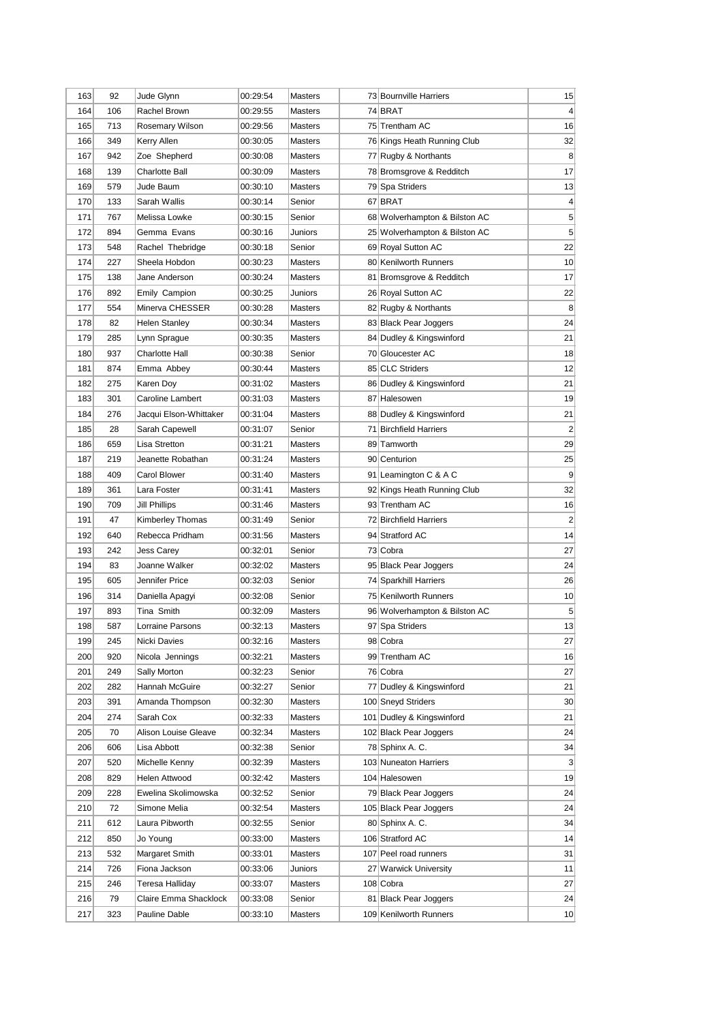| 163 | 92  | Jude Glynn             | 00:29:54 | Masters        | 73 Bournville Harriers        | 15                      |
|-----|-----|------------------------|----------|----------------|-------------------------------|-------------------------|
| 164 | 106 | Rachel Brown           | 00:29:55 | Masters        | 74 BRAT                       | $\overline{4}$          |
| 165 | 713 | Rosemary Wilson        | 00:29:56 | Masters        | 75 Trentham AC                | 16                      |
| 166 | 349 | Kerry Allen            | 00:30:05 | Masters        | 76 Kings Heath Running Club   | 32                      |
| 167 | 942 | Zoe Shepherd           | 00:30:08 | Masters        | 77 Rugby & Northants          | 8                       |
| 168 | 139 | Charlotte Ball         | 00:30:09 | Masters        | 78 Bromsgrove & Redditch      | 17                      |
| 169 | 579 | Jude Baum              | 00:30:10 | <b>Masters</b> | 79 Spa Striders               | 13                      |
| 170 | 133 | Sarah Wallis           | 00:30:14 | Senior         | 67 BRAT                       | $\overline{4}$          |
| 171 | 767 | Melissa Lowke          | 00:30:15 | Senior         | 68 Wolverhampton & Bilston AC | 5                       |
| 172 | 894 | Gemma Evans            | 00:30:16 | Juniors        | 25 Wolverhampton & Bilston AC | 5                       |
| 173 | 548 | Rachel Thebridge       | 00:30:18 | Senior         | 69 Royal Sutton AC            | 22                      |
| 174 | 227 | Sheela Hobdon          | 00:30:23 | Masters        | 80 Kenilworth Runners         | 10                      |
| 175 | 138 | Jane Anderson          | 00:30:24 | <b>Masters</b> | 81 Bromsgrove & Redditch      | 17                      |
| 176 | 892 | <b>Emily Campion</b>   | 00:30:25 | Juniors        | 26 Royal Sutton AC            | 22                      |
| 177 | 554 | Minerva CHESSER        | 00:30:28 | Masters        | 82 Rugby & Northants          | 8                       |
| 178 | 82  | Helen Stanley          | 00:30:34 | Masters        | 83 Black Pear Joggers         | 24                      |
| 179 | 285 | Lynn Sprague           | 00:30:35 | <b>Masters</b> | 84 Dudley & Kingswinford      | 21                      |
| 180 | 937 | Charlotte Hall         | 00:30:38 | Senior         | 70 Gloucester AC              | 18                      |
| 181 | 874 | Emma Abbey             | 00:30:44 | Masters        | 85 CLC Striders               | 12                      |
| 182 | 275 | Karen Doy              | 00:31:02 | Masters        | 86 Dudley & Kingswinford      | 21                      |
| 183 | 301 | Caroline Lambert       | 00:31:03 | <b>Masters</b> | 87 Halesowen                  | 19                      |
| 184 | 276 | Jacqui Elson-Whittaker | 00:31:04 | <b>Masters</b> | 88 Dudley & Kingswinford      | 21                      |
| 185 | 28  | Sarah Capewell         | 00:31:07 | Senior         | 71 Birchfield Harriers        | 2                       |
| 186 | 659 | Lisa Stretton          | 00:31:21 | Masters        | 89 Tamworth                   | 29                      |
| 187 | 219 | Jeanette Robathan      | 00:31:24 | Masters        | 90 Centurion                  | 25                      |
| 188 | 409 | Carol Blower           | 00:31:40 | Masters        | 91 Leamington C & A C         | 9                       |
| 189 | 361 | Lara Foster            | 00:31:41 | <b>Masters</b> | 92 Kings Heath Running Club   | 32                      |
| 190 | 709 | Jill Phillips          | 00:31:46 | Masters        | 93 Trentham AC                | 16                      |
| 191 | 47  | Kimberley Thomas       | 00:31:49 | Senior         | 72 Birchfield Harriers        | $\overline{\mathbf{c}}$ |
| 192 | 640 | Rebecca Pridham        | 00:31:56 | Masters        | 94 Stratford AC               | 14                      |
| 193 | 242 | Jess Carey             | 00:32:01 | Senior         | 73 Cobra                      | 27                      |
| 194 | 83  | Joanne Walker          | 00:32:02 | <b>Masters</b> | 95 Black Pear Joggers         | 24                      |
| 195 | 605 | Jennifer Price         | 00:32:03 | Senior         | 74 Sparkhill Harriers         | 26                      |
| 196 | 314 | Daniella Apagyi        | 00:32:08 | Senior         | 75 Kenilworth Runners         | 10                      |
| 197 | 893 | Tina Smith             | 00:32:09 | Masters        | 96 Wolverhampton & Bilston AC | 5                       |
| 198 | 587 | Lorraine Parsons       | 00:32:13 | <b>Masters</b> | 97 Spa Striders               | 13                      |
| 199 | 245 | Nicki Davies           | 00:32:16 | Masters        | 98 Cobra                      | 27                      |
| 200 | 920 | Nicola Jennings        | 00:32:21 | <b>Masters</b> | 99 Trentham AC                | 16                      |
| 201 | 249 | Sally Morton           | 00:32:23 | Senior         | 76 Cobra                      | 27                      |
| 202 | 282 | Hannah McGuire         | 00:32:27 | Senior         | 77 Dudley & Kingswinford      | 21                      |
| 203 | 391 | Amanda Thompson        | 00:32:30 | Masters        | 100 Sneyd Striders            | 30 <sup>2</sup>         |
| 204 | 274 | Sarah Cox              | 00:32:33 | Masters        | 101 Dudley & Kingswinford     | 21                      |
| 205 | 70  | Alison Louise Gleave   | 00:32:34 | <b>Masters</b> | 102 Black Pear Joggers        | 24                      |
| 206 | 606 | Lisa Abbott            | 00:32:38 | Senior         | 78 Sphinx A.C.                | 34                      |
| 207 | 520 | Michelle Kenny         | 00:32:39 | <b>Masters</b> | 103 Nuneaton Harriers         | 3                       |
| 208 | 829 | Helen Attwood          | 00:32:42 | Masters        | 104 Halesowen                 | 19                      |
| 209 | 228 | Ewelina Skolimowska    | 00:32:52 | Senior         | 79 Black Pear Joggers         | 24                      |
| 210 | 72  | Simone Melia           | 00:32:54 | Masters        | 105 Black Pear Joggers        | 24                      |
| 211 | 612 | Laura Pibworth         | 00:32:55 | Senior         | 80 Sphinx A.C.                | 34                      |
| 212 | 850 | Jo Young               | 00:33:00 | Masters        | 106 Stratford AC              | 14                      |
| 213 | 532 | Margaret Smith         | 00:33:01 | Masters        | 107 Peel road runners         | 31                      |
| 214 | 726 | Fiona Jackson          | 00:33:06 | Juniors        | 27 Warwick University         | 11                      |
| 215 | 246 | Teresa Halliday        | 00:33:07 | Masters        | 108 Cobra                     | 27                      |
| 216 | 79  | Claire Emma Shacklock  | 00:33:08 | Senior         | 81 Black Pear Joggers         | 24                      |
| 217 |     |                        |          |                | 109 Kenilworth Runners        | 10                      |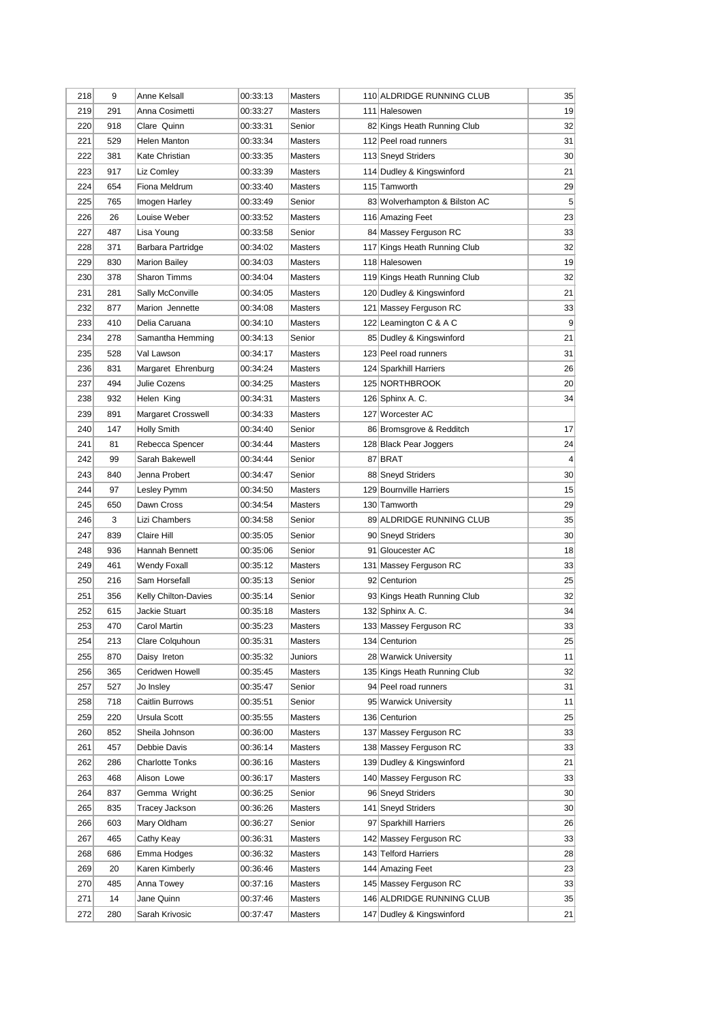| 218 | 9   | Anne Kelsall           | 00:33:13 | Masters        | 110 ALDRIDGE RUNNING CLUB     | 35              |
|-----|-----|------------------------|----------|----------------|-------------------------------|-----------------|
| 219 | 291 | Anna Cosimetti         | 00:33:27 | <b>Masters</b> | 111 Halesowen                 | 19              |
| 220 | 918 | Clare Quinn            | 00:33:31 | Senior         | 82 Kings Heath Running Club   | 32              |
| 221 | 529 | Helen Manton           | 00:33:34 | <b>Masters</b> | 112 Peel road runners         | 31              |
| 222 | 381 | Kate Christian         | 00:33:35 | Masters        | 113 Sneyd Striders            | 30 <sup>°</sup> |
| 223 | 917 | Liz Comley             | 00:33:39 | <b>Masters</b> | 114 Dudley & Kingswinford     | 21              |
| 224 | 654 | Fiona Meldrum          | 00:33:40 | <b>Masters</b> | 115 Tamworth                  | 29              |
| 225 | 765 | Imogen Harley          | 00:33:49 | Senior         | 83 Wolverhampton & Bilston AC | 5               |
| 226 | 26  | Louise Weber           | 00:33:52 | <b>Masters</b> | 116 Amazing Feet              | 23              |
| 227 | 487 | Lisa Young             | 00:33:58 | Senior         | 84 Massey Ferguson RC         | 33              |
| 228 | 371 | Barbara Partridge      | 00:34:02 | Masters        | 117 Kings Heath Running Club  | 32              |
| 229 | 830 | <b>Marion Bailey</b>   | 00:34:03 | Masters        | 118 Halesowen                 | 19              |
| 230 | 378 | <b>Sharon Timms</b>    | 00:34:04 | <b>Masters</b> | 119 Kings Heath Running Club  | 32              |
| 231 | 281 | Sally McConville       | 00:34:05 | Masters        | 120 Dudley & Kingswinford     | 21              |
| 232 | 877 | Marion Jennette        | 00:34:08 | <b>Masters</b> | 121 Massey Ferguson RC        | 33              |
| 233 | 410 | Delia Caruana          | 00:34:10 | <b>Masters</b> | 122 Leamington C & A C        | 9               |
| 234 | 278 | Samantha Hemming       | 00:34:13 | Senior         | 85 Dudley & Kingswinford      | 21              |
| 235 | 528 | Val Lawson             | 00:34:17 | <b>Masters</b> | 123 Peel road runners         | 31              |
| 236 | 831 | Margaret Ehrenburg     | 00:34:24 | Masters        | 124 Sparkhill Harriers        | 26              |
| 237 | 494 | Julie Cozens           | 00:34:25 | <b>Masters</b> | 125 NORTHBROOK                | 20              |
| 238 | 932 | Helen King             | 00:34:31 | <b>Masters</b> | 126 Sphinx A.C.               | 34              |
| 239 | 891 | Margaret Crosswell     | 00:34:33 | <b>Masters</b> | 127 Worcester AC              |                 |
| 240 | 147 | <b>Holly Smith</b>     | 00:34:40 | Senior         | 86 Bromsgrove & Redditch      | 17              |
| 241 | 81  | Rebecca Spencer        | 00:34:44 | <b>Masters</b> | 128 Black Pear Joggers        | 24              |
| 242 | 99  | Sarah Bakewell         | 00:34:44 | Senior         | 87 BRAT                       | 4               |
| 243 | 840 | Jenna Probert          | 00:34:47 | Senior         | 88 Sneyd Striders             | 30              |
| 244 | 97  | Lesley Pymm            | 00:34:50 | <b>Masters</b> | 129 Bournville Harriers       | 15              |
| 245 | 650 | Dawn Cross             | 00:34:54 | <b>Masters</b> | 130 Tamworth                  | 29              |
| 246 | 3   | Lizi Chambers          | 00:34:58 | Senior         | 89 ALDRIDGE RUNNING CLUB      | 35              |
| 247 | 839 | Claire Hill            | 00:35:05 | Senior         | 90 Sneyd Striders             | 30 <sup>°</sup> |
| 248 | 936 | Hannah Bennett         | 00:35:06 | Senior         | 91 Gloucester AC              | 18              |
| 249 | 461 | Wendy Foxall           | 00:35:12 | <b>Masters</b> | 131 Massey Ferguson RC        | 33              |
| 250 | 216 | Sam Horsefall          | 00:35:13 | Senior         | 92 Centurion                  | 25              |
| 251 | 356 | Kelly Chilton-Davies   | 00:35:14 | Senior         | 93 Kings Heath Running Club   | 32              |
| 252 | 615 | Jackie Stuart          | 00:35:18 | <b>Masters</b> | 132 Sphinx A. C.              | 34              |
| 253 | 470 | Carol Martin           | 00:35:23 | <b>Masters</b> | 133 Massey Ferguson RC        | 33              |
| 254 | 213 | Clare Colquhoun        | 00:35:31 | Masters        | 134 Centurion                 | 25              |
| 255 | 870 | Daisy Ireton           | 00:35:32 | Juniors        | 28 Warwick University         | 11              |
| 256 | 365 | Ceridwen Howell        | 00:35:45 | Masters        | 135 Kings Heath Running Club  | 32              |
| 257 | 527 | Jo Insley              | 00:35:47 | Senior         | 94 Peel road runners          | 31              |
| 258 | 718 | Caitlin Burrows        | 00:35:51 | Senior         | 95 Warwick University         | 11              |
| 259 | 220 | Ursula Scott           | 00:35:55 | Masters        | 136 Centurion                 | 25              |
| 260 | 852 | Sheila Johnson         | 00:36:00 | Masters        | 137 Massey Ferguson RC        | 33              |
| 261 | 457 | Debbie Davis           | 00:36:14 | Masters        | 138 Massey Ferguson RC        | 33              |
| 262 | 286 | <b>Charlotte Tonks</b> | 00:36:16 | Masters        | 139 Dudley & Kingswinford     | 21              |
| 263 | 468 | Alison Lowe            | 00:36:17 | Masters        | 140 Massey Ferguson RC        | 33              |
| 264 | 837 | Gemma Wright           | 00:36:25 | Senior         | 96 Sneyd Striders             | 30              |
| 265 | 835 | Tracey Jackson         | 00:36:26 | Masters        | 141 Sneyd Striders            | 30 <sup>°</sup> |
| 266 | 603 | Mary Oldham            | 00:36:27 | Senior         | 97 Sparkhill Harriers         | 26              |
| 267 | 465 | Cathy Keay             | 00:36:31 | Masters        | 142 Massey Ferguson RC        | 33              |
| 268 | 686 | Emma Hodges            | 00:36:32 | Masters        | 143 Telford Harriers          | 28              |
| 269 | 20  | Karen Kimberly         | 00:36:46 | Masters        | 144 Amazing Feet              | 23              |
| 270 | 485 | Anna Towey             | 00:37:16 | Masters        | 145 Massey Ferguson RC        | 33              |
| 271 | 14  | Jane Quinn             | 00:37:46 | Masters        | 146 ALDRIDGE RUNNING CLUB     | 35              |
| 272 | 280 | Sarah Krivosic         | 00:37:47 | Masters        | 147 Dudley & Kingswinford     | 21              |